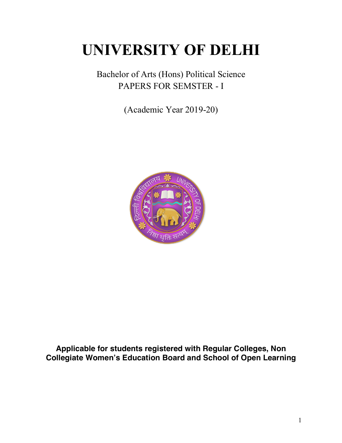# **UNIVERSITY OF DELHI**

Bachelor of Arts (Hons) Political Science PAPERS FOR SEMSTER - I

(Academic Year 2019-20)



**Applicable for students registered with Regular Colleges, Non Collegiate Women's Education Board and School of Open Learning**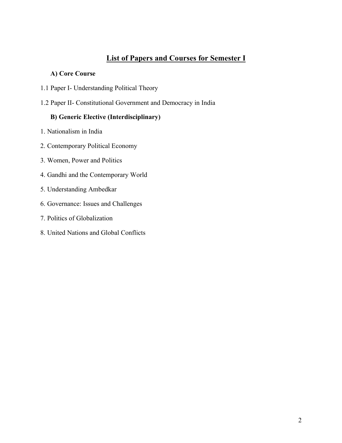# **List of Papers and Courses for Semester I**

#### **A) Core Course**

- 1.1 Paper I- Understanding Political Theory
- 1.2 Paper II- Constitutional Government and Democracy in India

#### **B) Generic Elective (Interdisciplinary)**

- 1. Nationalism in India
- 2. Contemporary Political Economy
- 3. Women, Power and Politics
- 4. Gandhi and the Contemporary World
- 5. Understanding Ambedkar
- 6. Governance: Issues and Challenges
- 7. Politics of Globalization
- 8. United Nations and Global Conflicts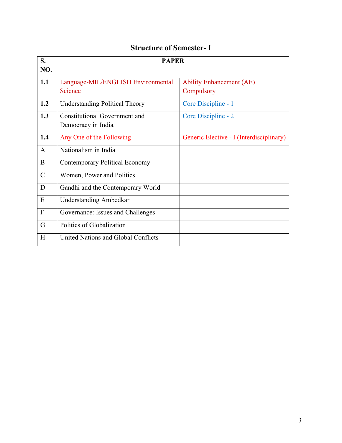| S.<br>NO.      | <b>PAPER</b>                                               |                                               |
|----------------|------------------------------------------------------------|-----------------------------------------------|
| 1.1            | Language-MIL/ENGLISH Environmental<br>Science              | <b>Ability Enhancement (AE)</b><br>Compulsory |
| 1.2            | <b>Understanding Political Theory</b>                      | Core Discipline - 1                           |
| 1.3            | <b>Constitutional Government and</b><br>Democracy in India | Core Discipline - 2                           |
| 1.4            | Any One of the Following                                   | Generic Elective - I (Interdisciplinary)      |
| $\mathbf{A}$   | Nationalism in India                                       |                                               |
| B              | <b>Contemporary Political Economy</b>                      |                                               |
| $\mathcal{C}$  | Women, Power and Politics                                  |                                               |
| D              | Gandhi and the Contemporary World                          |                                               |
| E              | <b>Understanding Ambedkar</b>                              |                                               |
| $\overline{F}$ | Governance: Issues and Challenges                          |                                               |
| G              | Politics of Globalization                                  |                                               |
| H              | United Nations and Global Conflicts                        |                                               |

# **Structure of Semester- I**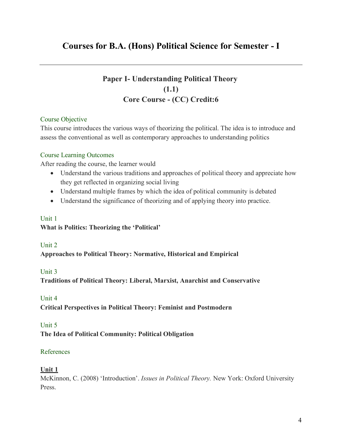# **Courses for B.A. (Hons) Political Science for Semester - I**

# **Paper I- Understanding Political Theory (1.1) Core Course - (CC) Credit:6**

#### Course Objective

This course introduces the various ways of theorizing the political. The idea is to introduce and assess the conventional as well as contemporary approaches to understanding politics

#### Course Learning Outcomes

After reading the course, the learner would

- Understand the various traditions and approaches of political theory and appreciate how they get reflected in organizing social living
- Understand multiple frames by which the idea of political community is debated
- Understand the significance of theorizing and of applying theory into practice.

#### Unit 1

#### **What is Politics: Theorizing the 'Political'**

#### Unit 2

**Approaches to Political Theory: Normative, Historical and Empirical**

#### Unit 3

**Traditions of Political Theory: Liberal, Marxist, Anarchist and Conservative**

#### Unit 4

**Critical Perspectives in Political Theory: Feminist and Postmodern**

#### Unit 5

**The Idea of Political Community: Political Obligation**

#### References

#### **Unit 1**

McKinnon, C. (2008) 'Introduction'. *Issues in Political Theory.* New York: Oxford University Press.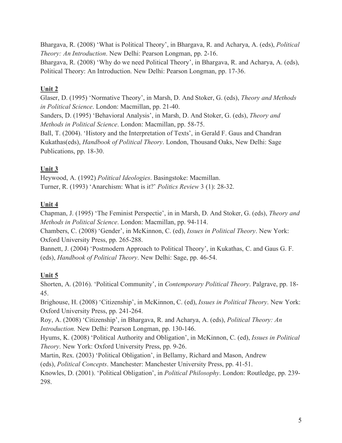Bhargava, R. (2008) 'What is Political Theory', in Bhargava, R. and Acharya, A. (eds), *Political Theory: An Introduction*. New Delhi: Pearson Longman, pp. 2-16.

Bhargava, R. (2008) 'Why do we need Political Theory', in Bhargava, R. and Acharya, A. (eds), Political Theory: An Introduction. New Delhi: Pearson Longman, pp. 17-36.

# **Unit 2**

Glaser, D. (1995) 'Normative Theory', in Marsh, D. And Stoker, G. (eds), *Theory and Methods in Political Science*. London: Macmillan, pp. 21-40.

Sanders, D. (1995) 'Behavioral Analysis', in Marsh, D. And Stoker, G. (eds), *Theory and Methods in Political Science*. London: Macmillan, pp. 58-75.

Ball, T. (2004). 'History and the Interpretation of Texts', in Gerald F. Gaus and Chandran Kukathas(eds), *Handbook of Political Theory*. London, Thousand Oaks, New Delhi: Sage Publications, pp. 18-30.

# **Unit 3**

Heywood, A. (1992) *Political Ideologies*. Basingstoke: Macmillan. Turner, R. (1993) 'Anarchism: What is it?' *Politics Review* 3 (1): 28-32.

# **Unit 4**

Chapman, J. (1995) 'The Feminist Perspectie', in in Marsh, D. And Stoker, G. (eds), *Theory and Methods in Political Science*. London: Macmillan, pp. 94-114.

Chambers, C. (2008) 'Gender', in McKinnon, C. (ed), *Issues in Political Theory*. New York: Oxford University Press, pp. 265-288.

Bannett, J. (2004) 'Postmodern Approach to Political Theory', in Kukathas, C. and Gaus G. F. (eds), *Handbook of Political Theory*. New Delhi: Sage, pp. 46-54.

# **Unit 5**

Shorten, A. (2016). 'Political Community', in *Contemporary Political Theory*. Palgrave, pp. 18- 45.

Brighouse, H. (2008) 'Citizenship', in McKinnon, C. (ed), *Issues in Political Theory*. New York: Oxford University Press, pp. 241-264.

Roy, A. (2008) 'Citizenship', in Bhargava, R. and Acharya, A. (eds), *Political Theory: An Introduction.* New Delhi: Pearson Longman, pp. 130-146.

Hyums, K. (2008) 'Political Authority and Obligation', in McKinnon, C. (ed), *Issues in Political Theory*. New York: Oxford University Press, pp. 9-26.

Martin, Rex. (2003) 'Political Obligation', in Bellamy, Richard and Mason, Andrew

(eds), *Political Concepts*. Manchester: Manchester University Press, pp. 41-51.

Knowles, D. (2001). 'Political Obligation', in *Political Philosophy*. London: Routledge, pp. 239- 298.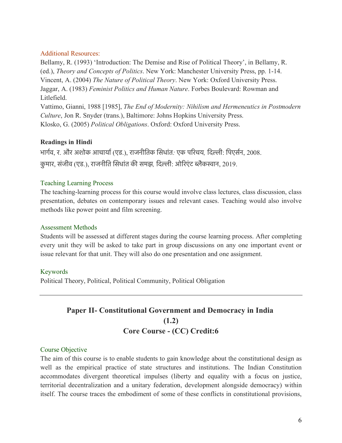#### Additional Resources:

Bellamy, R. (1993) 'Introduction: The Demise and Rise of Political Theory', in Bellamy, R. (ed.), *Theory and Concepts of Politics*. New York: Manchester University Press, pp. 1-14. Vincent, A. (2004) *The Nature of Political Theory*. New York: Oxford University Press. Jaggar, A. (1983) *Feminist Politics and Human Nature*. Forbes Boulevard: Rowman and Litlefield.

Vattimo, Gianni, 1988 [1985], *The End of Modernity: Nihilism and Hermeneutics in Postmodern Culture*, Jon R. Snyder (trans.), Baltimore: Johns Hopkins University Press. Klosko, G. (2005) *Political Obligations*. Oxford: Oxford University Press.

#### **Readings in Hindi**

भागरव, र. और अशोक आचायार(एड.), राजनीितक िसधांत*:* एक पिरचय*,* िदली: िपएसरन, 2008. कु मार, संजीव (एड.), राजनीित िसधांत की समझ*,* िदली: ओिरएं ट बैकसान, 2019.

#### Teaching Learning Process

The teaching-learning process for this course would involve class lectures, class discussion, class presentation, debates on contemporary issues and relevant cases. Teaching would also involve methods like power point and film screening.

#### Assessment Methods

Students will be assessed at different stages during the course learning process. After completing every unit they will be asked to take part in group discussions on any one important event or issue relevant for that unit. They will also do one presentation and one assignment.

#### Keywords

Political Theory, Political, Political Community, Political Obligation

# **Paper II- Constitutional Government and Democracy in India (1.2) Core Course - (CC) Credit:6**

#### Course Objective

The aim of this course is to enable students to gain knowledge about the constitutional design as well as the empirical practice of state structures and institutions. The Indian Constitution accommodates divergent theoretical impulses (liberty and equality with a focus on justice, territorial decentralization and a unitary federation, development alongside democracy) within itself. The course traces the embodiment of some of these conflicts in constitutional provisions,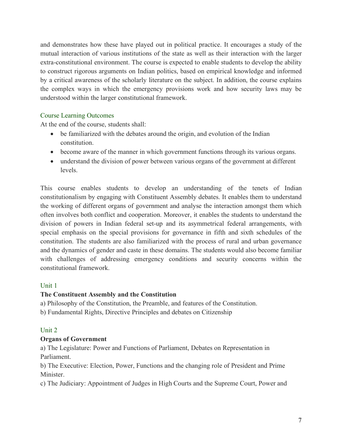and demonstrates how these have played out in political practice. It encourages a study of the mutual interaction of various institutions of the state as well as their interaction with the larger extra-constitutional environment. The course is expected to enable students to develop the ability to construct rigorous arguments on Indian politics, based on empirical knowledge and informed by a critical awareness of the scholarly literature on the subject. In addition, the course explains the complex ways in which the emergency provisions work and how security laws may be understood within the larger constitutional framework.

# Course Learning Outcomes

At the end of the course, students shall:

- be familiarized with the debates around the origin, and evolution of the Indian constitution.
- become aware of the manner in which government functions through its various organs.
- understand the division of power between various organs of the government at different levels.

This course enables students to develop an understanding of the tenets of Indian constitutionalism by engaging with Constituent Assembly debates. It enables them to understand the working of different organs of government and analyse the interaction amongst them which often involves both conflict and cooperation. Moreover, it enables the students to understand the division of powers in Indian federal set-up and its asymmetrical federal arrangements, with special emphasis on the special provisions for governance in fifth and sixth schedules of the constitution. The students are also familiarized with the process of rural and urban governance and the dynamics of gender and caste in these domains. The students would also become familiar with challenges of addressing emergency conditions and security concerns within the constitutional framework.

# Unit 1

# **The Constituent Assembly and the Constitution**

- a) Philosophy of the Constitution, the Preamble, and features of the Constitution.
- b) Fundamental Rights, Directive Principles and debates on Citizenship

# Unit 2

# **Organs of Government**

a) The Legislature: Power and Functions of Parliament, Debates on Representation in Parliament.

b) The Executive: Election, Power, Functions and the changing role of President and Prime Minister.

c) The Judiciary: Appointment of Judges in High Courts and the Supreme Court, Power and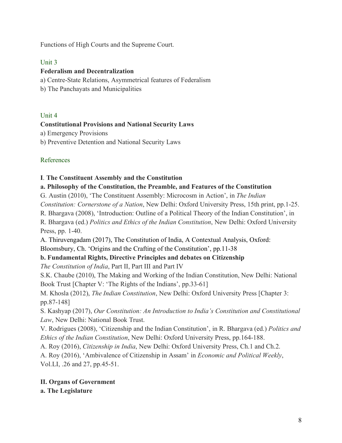Functions of High Courts and the Supreme Court.

# Unit 3

# **Federalism and Decentralization**

- a) Centre-State Relations, Asymmetrical features of Federalism
- b) The Panchayats and Municipalities

#### Unit 4

# **Constitutional Provisions and National Security Laws**

a) Emergency Provisions

b) Preventive Detention and National Security Laws

# References

#### **I**. **The Constituent Assembly and the Constitution**

# **a. Philosophy of the Constitution, the Preamble, and Features of the Constitution**

G. Austin (2010), 'The Constituent Assembly: Microcosm in Action', in *The Indian* 

*Constitution: Cornerstone of a Nation*, New Delhi: Oxford University Press, 15th print, pp.1-25.

R. Bhargava (2008), 'Introduction: Outline of a Political Theory of the Indian Constitution', in

R. Bhargava (ed.) *Politics and Ethics of the Indian Constitution*, New Delhi: Oxford University Press, pp. 1-40.

A. Thiruvengadam (2017), The Constitution of India, A Contextual Analysis, Oxford:

# Bloomsbury, Ch. 'Origins and the Crafting of the Constitution', pp.11-38

# **b. Fundamental Rights, Directive Principles and debates on Citizenship**

*The Constitution of India*, Part II, Part III and Part IV

S.K. Chaube (2010), The Making and Working of the Indian Constitution, New Delhi: National Book Trust [Chapter V: 'The Rights of the Indians', pp.33-61]

M. Khosla (2012), *The Indian Constitution*, New Delhi: Oxford University Press [Chapter 3: pp.87-148]

S. Kashyap (2017), *Our Constitution: An Introduction to India's Constitution and Constitutional Law*, New Delhi: National Book Trust.

V. Rodrigues (2008), 'Citizenship and the Indian Constitution', in R. Bhargava (ed.) *Politics and Ethics of the Indian Constitution*, New Delhi: Oxford University Press, pp.164-188.

A. Roy (2016), *Citizenship in India*, New Delhi: Oxford University Press, Ch.1 and Ch.2.

A. Roy (2016), 'Ambivalence of Citizenship in Assam' in *Economic and Political Weekly*, Vol.LI, .26 and 27, pp.45-51.

# **II. Organs of Government**

**a. The Legislature**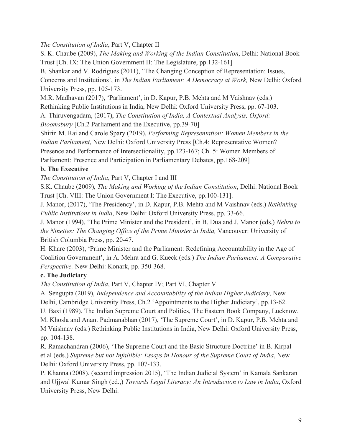*The Constitution of India*, Part V, Chapter II

S. K. Chaube (2009), *The Making and Working of the Indian Constitution*, Delhi: National Book Trust [Ch. IX: The Union Government II: The Legislature, pp.132-161]

B. Shankar and V. Rodrigues (2011), 'The Changing Conception of Representation: Issues,

Concerns and Institutions', in *The Indian Parliament: A Democracy at Work,* New Delhi: Oxford University Press, pp. 105-173.

M.R. Madhavan (2017), 'Parliament', in D. Kapur, P.B. Mehta and M Vaishnav (eds.) Rethinking Public Institutions in India, New Delhi: Oxford University Press, pp. 67-103.

A. Thiruvengadam, (2017), *The Constitution of India, A Contextual Analysis, Oxford:* 

*Bloomsbury* [Ch.2 Parliament and the Executive, pp.39-70]

Shirin M. Rai and Carole Spary (2019), *Performing Representation: Women Members in the Indian Parliament*, New Delhi: Oxford University Press [Ch.4: Representative Women? Presence and Performance of Intersectionality, pp.123-167; Ch. 5: Women Members of Parliament: Presence and Participation in Parliamentary Debates, pp.168-209]

# **b. The Executive**

*The Constitution of India*, Part V, Chapter I and III

S.K. Chaube (2009), *The Making and Working of the Indian Constitution*, Delhi: National Book Trust [Ch. VIII: The Union Government I: The Executive, pp.100-131].

J. Manor, (2017), 'The Presidency', in D. Kapur, P.B. Mehta and M Vaishnav (eds.) *Rethinking Public Institutions in India*, New Delhi: Oxford University Press, pp. 33-66.

J. Manor (1994), 'The Prime Minister and the President', in B. Dua and J. Manor (eds.) *Nehru to the Nineties: The Changing Office of the Prime Minister in India,* Vancouver: University of British Columbia Press, pp. 20-47.

H. Khare (2003), 'Prime Minister and the Parliament: Redefining Accountability in the Age of Coalition Government', in A. Mehra and G. Kueck (eds.) *The Indian Parliament: A Comparative Perspective,* New Delhi: Konark, pp. 350-368.

# **c. The Judiciary**

*The Constitution of India*, Part V, Chapter IV; Part VI, Chapter V

A. Sengupta (2019), *Independence and Accountability of the Indian Higher Judiciary*, New

Delhi, Cambridge University Press, Ch.2 'Appointments to the Higher Judiciary', pp.13-62.

U. Baxi (1989), The Indian Supreme Court and Politics, The Eastern Book Company, Lucknow.

M. Khosla and Anant Padmanabhan (2017), 'The Supreme Court', in D. Kapur, P.B. Mehta and M Vaishnav (eds.) Rethinking Public Institutions in India, New Delhi: Oxford University Press, pp. 104-138.

R. Ramachandran (2006), 'The Supreme Court and the Basic Structure Doctrine' in B. Kirpal et.al (eds.) *Supreme but not Infallible: Essays in Honour of the Supreme Court of India*, New Delhi: Oxford University Press, pp. 107-133.

P. Khanna (2008), (second impression 2015), 'The Indian Judicial System' in Kamala Sankaran and Ujjwal Kumar Singh (ed.,) *Towards Legal Literacy: An Introduction to Law in India*, Oxford University Press, New Delhi.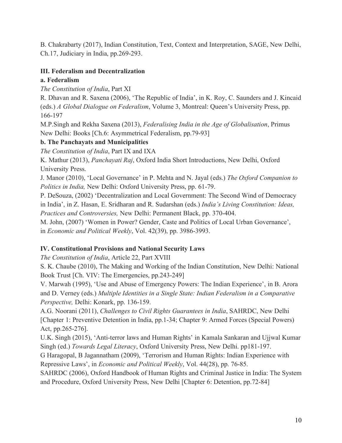B. Chakrabarty (2017), Indian Constitution, Text, Context and Interpretation, SAGE, New Delhi, Ch.17, Judiciary in India, pp.269-293.

# **III. Federalism and Decentralization**

# **a. Federalism**

*The Constitution of India*, Part XI

R. Dhavan and R. Saxena (2006), 'The Republic of India', in K. Roy, C. Saunders and J. Kincaid (eds.) *A Global Dialogue on Federalism*, Volume 3, Montreal: Queen's University Press, pp. 166-197

M.P.Singh and Rekha Saxena (2013), *Federalising India in the Age of Globalisation*, Primus New Delhi: Books [Ch.6: Asymmetrical Federalism, pp.79-93]

# **b. The Panchayats and Municipalities**

*The Constitution of India*, Part IX and IXA

K. Mathur (2013), *Panchayati Raj*, Oxford India Short Introductions, New Delhi, Oxford University Press.

J. Manor (2010), 'Local Governance' in P. Mehta and N. Jayal (eds.) *The Oxford Companion to Politics in India,* New Delhi: Oxford University Press, pp. 61-79.

P. DeSouza, (2002) 'Decentralization and Local Government: The Second Wind of Democracy in India', in Z. Hasan, E. Sridharan and R. Sudarshan (eds.) *India's Living Constitution: Ideas, Practices and Controversies,* New Delhi: Permanent Black, pp. 370-404.

M. John, (2007) 'Women in Power? Gender, Caste and Politics of Local Urban Governance', in *Economic and Political Weekly*, Vol. 42(39), pp. 3986-3993.

# **IV. Constitutional Provisions and National Security Laws**

*The Constitution of India*, Article 22, Part XVIII

S. K. Chaube (2010), The Making and Working of the Indian Constitution, New Delhi: National Book Trust [Ch. VIV: The Emergencies, pp.243-249]

V. Marwah (1995), 'Use and Abuse of Emergency Powers: The Indian Experience', in B. Arora and D. Verney (eds.) *Multiple Identities in a Single State: Indian Federalism in a Comparative Perspective,* Delhi: Konark, pp. 136-159.

A.G. Noorani (2011), *Challenges to Civil Rights Guarantees in India*, SAHRDC, New Delhi [Chapter 1: Preventive Detention in India, pp.1-34; Chapter 9: Armed Forces (Special Powers) Act, pp.265-276].

U.K. Singh (2015), 'Anti-terror laws and Human Rights' in Kamala Sankaran and Ujjwal Kumar Singh (ed.) *Towards Legal Literacy*, Oxford University Press, New Delhi. pp181-197.

G Haragopal, B Jagannatham (2009), 'Terrorism and Human Rights: Indian Experience with Repressive Laws', in *Economic and Political Weekly*, Vol. 44(28), pp. 76-85.

SAHRDC (2006), Oxford Handbook of Human Rights and Criminal Justice in India: The System and Procedure, Oxford University Press, New Delhi [Chapter 6: Detention, pp.72-84]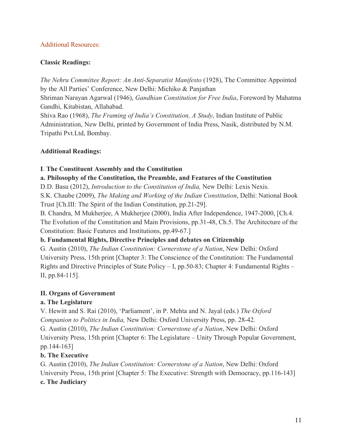#### Additional Resources:

#### **Classic Readings:**

*The Nehru Committee Report: An Anti-Separatist Manifesto* (1928), The Committee Appointed by the All Parties' Conference, New Delhi: Michiko & Panjathan

Shriman Narayan Agarwal (1946), *Gandhian Constitution for Free India*, Foreword by Mahatma Gandhi, Kitabistan, Allahabad.

Shiva Rao (1968), *The Framing of India's Constitution, A Study*, Indian Institute of Public Administration, New Delhi, printed by Government of India Press, Nasik, distributed by N.M. Tripathi Pvt.Ltd, Bombay.

#### **Additional Readings:**

#### **I**. **The Constituent Assembly and the Constitution**

#### **a. Philosophy of the Constitution, the Preamble, and Features of the Constitution**

D.D. Basu (2012), *Introduction to the Constitution of India,* New Delhi: Lexis Nexis. S.K. Chaube (2009), *The Making and Working of the Indian Constitution*, Delhi: National Book Trust [Ch.III: The Spirit of the Indian Constitution, pp.21-29].

B. Chandra, M Mukherjee, A Mukherjee (2000), India After Independence, 1947-2000, [Ch.4. The Evolution of the Constitution and Main Provisions, pp.31-48, Ch.5. The Architecture of the Constitution: Basic Features and Institutions, pp.49-67.]

# **b. Fundamental Rights, Directive Principles and debates on Citizenship**

G. Austin (2010), *The Indian Constitution: Cornerstone of a Nation*, New Delhi: Oxford University Press, 15th print [Chapter 3: The Conscience of the Constitution: The Fundamental Rights and Directive Principles of State Policy – I, pp.50-83; Chapter 4: Fundamental Rights – II, pp.84-115].

# **II. Organs of Government**

# **a. The Legislature**

V. Hewitt and S. Rai (2010), 'Parliament', in P. Mehta and N. Jayal (eds.) *The Oxford Companion to Politics in India,* New Delhi: Oxford University Press, pp. 28-42.

G. Austin (2010), *The Indian Constitution: Cornerstone of a Nation*, New Delhi: Oxford University Press, 15th print [Chapter 6: The Legislature – Unity Through Popular Government, pp.144-163]

# **b. The Executive**

G. Austin (2010), *The Indian Constitution: Cornerstone of a Nation*, New Delhi: Oxford University Press, 15th print [Chapter 5: The Executive: Strength with Democracy, pp.116-143] **c. The Judiciary**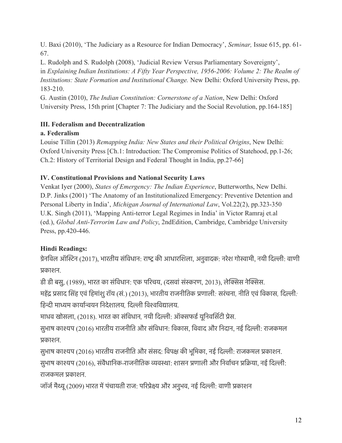U. Baxi (2010), 'The Judiciary as a Resource for Indian Democracy', *Seminar,* Issue 615, pp. 61- 67.

L. Rudolph and S. Rudolph (2008), 'Judicial Review Versus Parliamentary Sovereignty', in *Explaining Indian Institutions: A Fifty Year Perspective, 1956-2006: Volume 2: The Realm of Institutions: State Formation and Institutional Change.* New Delhi: Oxford University Press, pp. 183-210.

G. Austin (2010), *The Indian Constitution: Cornerstone of a Nation*, New Delhi: Oxford University Press, 15th print [Chapter 7: The Judiciary and the Social Revolution, pp.164-185]

# **III. Federalism and Decentralization**

# **a. Federalism**

Louise Tillin (2013) *Remapping India: New States and their Political Origins*, New Delhi: Oxford University Press [Ch.1: Introduction: The Compromise Politics of Statehood, pp.1-26; Ch.2: History of Territorial Design and Federal Thought in India, pp.27-66]

# **IV. Constitutional Provisions and National Security Laws**

Venkat Iyer (2000), *States of Emergency: The Indian Experience*, Butterworths, New Delhi. D.P. Jinks (2001) 'The Anatomy of an Institutionalized Emergency: Preventive Detention and Personal Liberty in India', *Michigan Journal of International Law*, Vol.22(2), pp.323-350 U.K. Singh (2011), 'Mapping Anti-terror Legal Regimes in India' in Victor Ramraj et.al (ed.), *Global Anti-Terrorim Law and Policy*, 2ndEdition, Cambridge, Cambridge University Press, pp.420-446.

# **Hindi Readings:**

ग्रेनविल ऑस्टिन (2017), भारतीय संविधान: राष्ट्र की आधारशिला, अनुवादक: नरेश गोस्वामी, नयी दिल्ली: वाणी पकाशन.

डी डी बसु, (1989), भारत का संविधान: एक परिचय, (दसवां संस्करण, 2013), लेक्सिस नेक्सिस.

महेद पसाद िसं ह एवं िहमांशुरॉय (सं.) (2013), भारतीय राजनीितक पणाली*:* सरंचना*,* नीित एवं िवकास*,* िदली*:*  िहनी माधम कायारनयन िनदेशालय*,* िदली िवशिवदालय.

माधव खोसला, (2018). भारत का संविधान, नयी दिल्ली: ऑक्सफर्ड यूनिवर्सिटी प्रेस.

सुभाष काश्यप (2016) भारतीय राजनीति और संविधान: विकास, विवाद और निदान, नई दिल्ली: राजकमल पकाशन.

सुभाष काश्यप (2016) भारतीय राजनीति और संसद: विपक्ष की भूमिका, नई दिल्ली: राजकमल प्रकाशन. सुभाष काश्यप (2016), संवैधानिक-राजनीतिक व्यवस्था: शासन प्रणाली और निर्वाचन प्रक्रिया, नई दिल्ली: राजकमल पकाशन.

जॉर्ज मैथ्य (2009) भारत में पंचायती राज: परिप्रेक्ष्य और अनुभव, नई दिल्ली: वाणी प्रकाशन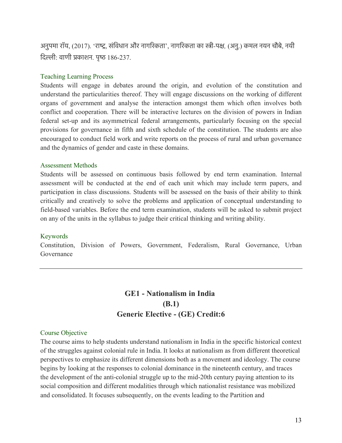अनुपमा रॉय, (2017). 'राष्ट्र, संविधान और नागरिकता', नागरिकता का स्त्री-पक्ष, (अनु.) कमल नयन चौबे, नयी दिल्ली: वाणी प्रकाशन. पृष्ठ 186-237.

#### Teaching Learning Process

Students will engage in debates around the origin, and evolution of the constitution and understand the particularities thereof. They will engage discussions on the working of different organs of government and analyse the interaction amongst them which often involves both conflict and cooperation. There will be interactive lectures on the division of powers in Indian federal set-up and its asymmetrical federal arrangements, particularly focusing on the special provisions for governance in fifth and sixth schedule of the constitution. The students are also encouraged to conduct field work and write reports on the process of rural and urban governance and the dynamics of gender and caste in these domains.

#### Assessment Methods

Students will be assessed on continuous basis followed by end term examination. Internal assessment will be conducted at the end of each unit which may include term papers, and participation in class discussions. Students will be assessed on the basis of their ability to think critically and creatively to solve the problems and application of conceptual understanding to field-based variables. Before the end term examination, students will be asked to submit project on any of the units in the syllabus to judge their critical thinking and writing ability.

#### Keywords

Constitution, Division of Powers, Government, Federalism, Rural Governance, Urban Governance

# **GE1 - Nationalism in India (B.1) Generic Elective - (GE) Credit:6**

#### Course Objective

The course aims to help students understand nationalism in India in the specific historical context of the struggles against colonial rule in India. It looks at nationalism as from different theoretical perspectives to emphasize its different dimensions both as a movement and ideology. The course begins by looking at the responses to colonial dominance in the nineteenth century, and traces the development of the anti-colonial struggle up to the mid-20th century paying attention to its social composition and different modalities through which nationalist resistance was mobilized and consolidated. It focuses subsequently, on the events leading to the Partition and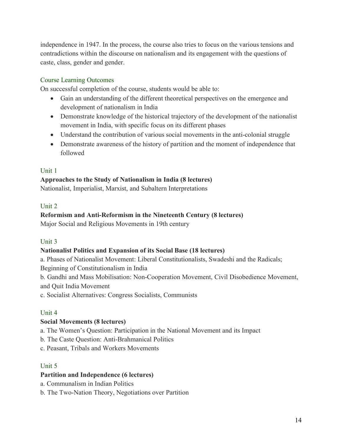independence in 1947. In the process, the course also tries to focus on the various tensions and contradictions within the discourse on nationalism and its engagement with the questions of caste, class, gender and gender.

#### Course Learning Outcomes

On successful completion of the course, students would be able to:

- Gain an understanding of the different theoretical perspectives on the emergence and development of nationalism in India
- Demonstrate knowledge of the historical trajectory of the development of the nationalist movement in India, with specific focus on its different phases
- Understand the contribution of various social movements in the anti-colonial struggle
- Demonstrate awareness of the history of partition and the moment of independence that followed

#### Unit 1

#### **Approaches to the Study of Nationalism in India (8 lectures)**

Nationalist, Imperialist, Marxist, and Subaltern Interpretations

#### Unit 2

#### **Reformism and Anti-Reformism in the Nineteenth Century (8 lectures)**

Major Social and Religious Movements in 19th century

#### Unit 3

#### **Nationalist Politics and Expansion of its Social Base (18 lectures)**

a. Phases of Nationalist Movement: Liberal Constitutionalists, Swadeshi and the Radicals;

Beginning of Constitutionalism in India

b. Gandhi and Mass Mobilisation: Non-Cooperation Movement, Civil Disobedience Movement,

and Quit India Movement

c. Socialist Alternatives: Congress Socialists, Communists

# Unit 4

#### **Social Movements (8 lectures)**

a. The Women's Question: Participation in the National Movement and its Impact

b. The Caste Question: Anti-Brahmanical Politics

c. Peasant, Tribals and Workers Movements

#### Unit 5

#### **Partition and Independence (6 lectures)**

a. Communalism in Indian Politics

b. The Two-Nation Theory, Negotiations over Partition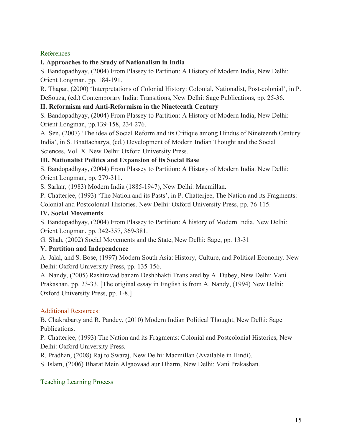#### References

#### **I. Approaches to the Study of Nationalism in India**

S. Bandopadhyay, (2004) From Plassey to Partition: A History of Modern India, New Delhi: Orient Longman, pp. 184-191.

R. Thapar, (2000) 'Interpretations of Colonial History: Colonial, Nationalist, Post-colonial', in P. DeSouza, (ed.) Contemporary India: Transitions, New Delhi: Sage Publications, pp. 25-36.

#### **II. Reformism and Anti-Reformism in the Nineteenth Century**

S. Bandopadhyay, (2004) From Plassey to Partition: A History of Modern India, New Delhi: Orient Longman, pp.139-158, 234-276.

A. Sen, (2007) 'The idea of Social Reform and its Critique among Hindus of Nineteenth Century India', in S. Bhattacharya, (ed.) Development of Modern Indian Thought and the Social Sciences, Vol. X. New Delhi: Oxford University Press.

# **III. Nationalist Politics and Expansion of its Social Base**

S. Bandopadhyay, (2004) From Plassey to Partition: A History of Modern India. New Delhi: Orient Longman, pp. 279-311.

S. Sarkar, (1983) Modern India (1885-1947), New Delhi: Macmillan.

P. Chatterjee, (1993) 'The Nation and its Pasts', in P. Chatterjee, The Nation and its Fragments: Colonial and Postcolonial Histories. New Delhi: Oxford University Press, pp. 76-115.

# **IV. Social Movements**

S. Bandopadhyay, (2004) From Plassey to Partition: A history of Modern India. New Delhi: Orient Longman, pp. 342-357, 369-381.

G. Shah, (2002) Social Movements and the State, New Delhi: Sage, pp. 13-31

# **V. Partition and Independence**

A. Jalal, and S. Bose, (1997) Modern South Asia: History, Culture, and Political Economy. New Delhi: Oxford University Press, pp. 135-156.

A. Nandy, (2005) Rashtravad banam Deshbhakti Translated by A. Dubey, New Delhi: Vani Prakashan. pp. 23-33. [The original essay in English is from A. Nandy, (1994) New Delhi: Oxford University Press, pp. 1-8.]

# Additional Resources:

B. Chakrabarty and R. Pandey, (2010) Modern Indian Political Thought, New Delhi: Sage Publications.

P. Chatterjee, (1993) The Nation and its Fragments: Colonial and Postcolonial Histories, New Delhi: Oxford University Press.

R. Pradhan, (2008) Raj to Swaraj, New Delhi: Macmillan (Available in Hindi).

S. Islam, (2006) Bharat Mein Algaovaad aur Dharm, New Delhi: Vani Prakashan.

# Teaching Learning Process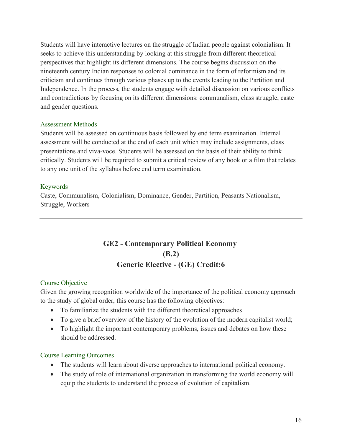Students will have interactive lectures on the struggle of Indian people against colonialism. It seeks to achieve this understanding by looking at this struggle from different theoretical perspectives that highlight its different dimensions. The course begins discussion on the nineteenth century Indian responses to colonial dominance in the form of reformism and its criticism and continues through various phases up to the events leading to the Partition and Independence. In the process, the students engage with detailed discussion on various conflicts and contradictions by focusing on its different dimensions: communalism, class struggle, caste and gender questions.

#### Assessment Methods

Students will be assessed on continuous basis followed by end term examination. Internal assessment will be conducted at the end of each unit which may include assignments, class presentations and viva-voce. Students will be assessed on the basis of their ability to think critically. Students will be required to submit a critical review of any book or a film that relates to any one unit of the syllabus before end term examination.

#### Keywords

Caste, Communalism, Colonialism, Dominance, Gender, Partition, Peasants Nationalism, Struggle, Workers

# **GE2 - Contemporary Political Economy (B.2) Generic Elective - (GE) Credit:6**

# Course Objective

Given the growing recognition worldwide of the importance of the political economy approach to the study of global order, this course has the following objectives:

- To familiarize the students with the different theoretical approaches
- To give a brief overview of the history of the evolution of the modern capitalist world;
- To highlight the important contemporary problems, issues and debates on how these should be addressed.

# Course Learning Outcomes

- The students will learn about diverse approaches to international political economy.
- The study of role of international organization in transforming the world economy will equip the students to understand the process of evolution of capitalism.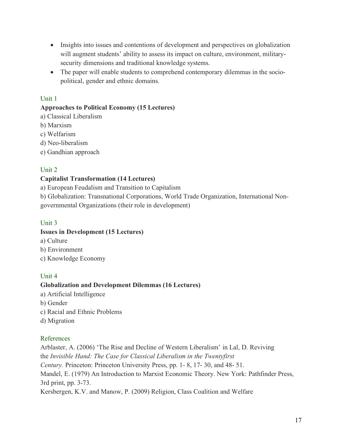- Insights into issues and contentions of development and perspectives on globalization will augment students' ability to assess its impact on culture, environment, militarysecurity dimensions and traditional knowledge systems.
- The paper will enable students to comprehend contemporary dilemmas in the sociopolitical, gender and ethnic domains.

# Unit 1

# **Approaches to Political Economy (15 Lectures)**

- a) Classical Liberalism
- b) Marxism
- c) Welfarism
- d) Neo-liberalism
- e) Gandhian approach

# Unit 2

# **Capitalist Transformation (14 Lectures)**

a) European Feudalism and Transition to Capitalism

b) Globalization: Transnational Corporations, World Trade Organization, International Nongovernmental Organizations (their role in development)

# Unit 3

# **Issues in Development (15 Lectures)**

- a) Culture
- b) Environment
- c) Knowledge Economy

# Unit 4

# **Globalization and Development Dilemmas (16 Lectures)**

- a) Artificial Intelligence
- b) Gender
- c) Racial and Ethnic Problems
- d) Migration

# References

Arblaster, A. (2006) 'The Rise and Decline of Western Liberalism' in Lal, D. Reviving the *Invisible Hand: The Case for Classical Liberalism in the Twentyfirst Century.* Princeton: Princeton University Press, pp. 1- 8, 17- 30, and 48- 51. Mandel, E. (1979) An Introduction to Marxist Economic Theory. New York: Pathfinder Press, 3rd print, pp. 3-73. Kersbergen, K.V. and Manow, P. (2009) Religion, Class Coalition and Welfare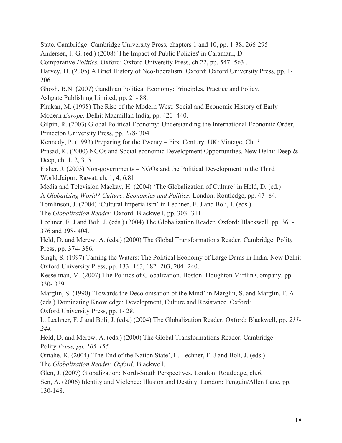State. Cambridge: Cambridge University Press, chapters 1 and 10, pp. 1-38; 266-295 Andersen, J. G. (ed.) (2008) 'The Impact of Public Policies' in Caramani, D

Comparative *Politics.* Oxford: Oxford University Press, ch 22, pp. 547- 563 .

Harvey, D. (2005) A Brief History of Neo-liberalism. Oxford: Oxford University Press, pp. 1- 206.

Ghosh, B.N. (2007) Gandhian Political Economy: Principles, Practice and Policy. Ashgate Publishing Limited, pp. 21- 88.

Phukan, M. (1998) The Rise of the Modern West: Social and Economic History of Early Modern *Europe.* Delhi: Macmillan India, pp. 420- 440.

Gilpin, R. (2003) Global Political Economy: Understanding the International Economic Order, Princeton University Press, pp. 278- 304.

Kennedy, P. (1993) Preparing for the Twenty – First Century. UK: Vintage, Ch. 3

Prasad, K. (2000) NGOs and Social-economic Development Opportunities. New Delhi: Deep & Deep, ch. 1, 2, 3, 5.

Fisher, J. (2003) Non-governments – NGOs and the Political Development in the Third World.Jaipur: Rawat, ch. 1, 4, 6.81

Media and Television Mackay, H. (2004) 'The Globalization of Culture' in Held, D. (ed.)

A *Globalizing World? Culture, Economics and Politics*. London: Routledge, pp. 47- 84.

Tomlinson, J. (2004) 'Cultural Imperialism' in Lechner, F. J and Boli, J. (eds.)

The *Globalization Reader.* Oxford: Blackwell, pp. 303- 311.

Lechner, F. J and Boli, J. (eds.) (2004) The Globalization Reader. Oxford: Blackwell, pp. 361- 376 and 398- 404.

Held, D. and Mcrew, A. (eds.) (2000) The Global Transformations Reader. Cambridge: Polity Press, pp. 374- 386.

Singh, S. (1997) Taming the Waters: The Political Economy of Large Dams in India. New Delhi: Oxford University Press, pp. 133- 163, 182- 203, 204- 240.

Kesselman, M. (2007) The Politics of Globalization. Boston: Houghton Mifflin Company, pp. 330- 339.

Marglin, S. (1990) 'Towards the Decolonisation of the Mind' in Marglin, S. and Marglin, F. A. (eds.) Dominating Knowledge: Development, Culture and Resistance. Oxford:

Oxford University Press, pp. 1- 28.

L. Lechner, F. J and Boli, J. (eds.) (2004) The Globalization Reader. Oxford: Blackwell, pp. *211- 244.*

Held, D. and Mcrew, A. (eds.) (2000) The Global Transformations Reader. Cambridge: Polity *Press, pp. 105-155.*

Omahe, K. (2004) 'The End of the Nation State', L. Lechner, F. J and Boli, J. (eds.) The *Globalization Reader. Oxford:* Blackwell.

Glen, J. (2007) Globalization: North-South Perspectives. London: Routledge, ch.6.

Sen, A. (2006) Identity and Violence: Illusion and Destiny. London: Penguin/Allen Lane, pp. 130-148.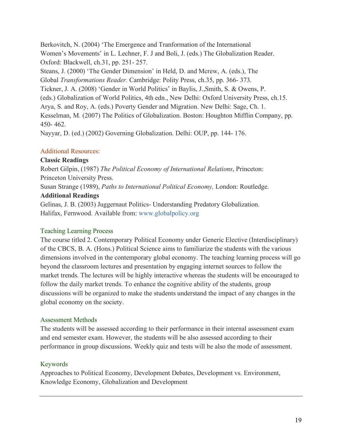Berkovitch, N. (2004) 'The Emergence and Tranformation of the International Women's Movements' in L. Lechner, F. J and Boli, J. (eds.) The Globalization Reader. Oxford: Blackwell, ch.31, pp. 251- 257. Steans, J. (2000) 'The Gender Dimension' in Held, D. and Mcrew, A. (eds.), The Global *Transformations Reader.* Cambridge: Polity Press, ch.35, pp. 366- 373. Tickner, J. A. (2008) 'Gender in World Politics' in Baylis, J.,Smith, S. & Owens, P. (eds.) Globalization of World Politics, 4th edn., New Delhi: Oxford University Press, ch.15. Arya, S. and Roy, A. (eds.) Poverty Gender and Migration. New Delhi: Sage, Ch. 1. Kesselman, M. (2007) The Politics of Globalization. Boston: Houghton Mifflin Company, pp. 450- 462.

Nayyar, D. (ed.) (2002) Governing Globalization. Delhi: OUP, pp. 144- 176.

# Additional Resources:

#### **Classic Readings**

Robert Gilpin, (1987) *The Political Economy of International Relations*, Princeton: Princeton University Press.

Susan Strange (1989), *Paths to International Political Economy,* London: Routledge.

#### **Additional Readings**

Gelinas, J. B. (2003) Juggernaut Politics- Understanding Predatory Globalization. Halifax, Fernwood. Available from: www.globalpolicy.org

#### Teaching Learning Process

The course titled 2. Contemporary Political Economy under Generic Elective (Interdisciplinary) of the CBCS, B. A. (Hons.) Political Science aims to familiarize the students with the various dimensions involved in the contemporary global economy. The teaching learning process will go beyond the classroom lectures and presentation by engaging internet sources to follow the market trends. The lectures will be highly interactive whereas the students will be encouraged to follow the daily market trends. To enhance the cognitive ability of the students, group discussions will be organized to make the students understand the impact of any changes in the global economy on the society.

#### Assessment Methods

The students will be assessed according to their performance in their internal assessment exam and end semester exam. However, the students will be also assessed according to their performance in group discussions. Weekly quiz and tests will be also the mode of assessment.

#### Keywords

Approaches to Political Economy, Development Debates, Development vs. Environment, Knowledge Economy, Globalization and Development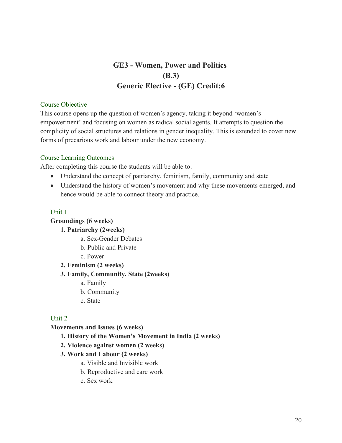# **GE3 - Women, Power and Politics (B.3) Generic Elective - (GE) Credit:6**

#### Course Objective

This course opens up the question of women's agency, taking it beyond 'women's empowerment' and focusing on women as radical social agents. It attempts to question the complicity of social structures and relations in gender inequality. This is extended to cover new forms of precarious work and labour under the new economy.

#### Course Learning Outcomes

After completing this course the students will be able to:

- Understand the concept of patriarchy, feminism, family, community and state
- Understand the history of women's movement and why these movements emerged, and hence would be able to connect theory and practice.

# Unit 1

#### **Groundings (6 weeks)**

#### **1. Patriarchy (2weeks)**

- a. Sex-Gender Debates
- b. Public and Private
- c. Power
- **2. Feminism (2 weeks)**

# **3. Family, Community, State (2weeks)**

- a. Family
- b. Community
- c. State

# Unit 2

# **Movements and Issues (6 weeks)**

# **1. History of the Women's Movement in India (2 weeks)**

- **2. Violence against women (2 weeks)**
- **3. Work and Labour (2 weeks)**
	- a. Visible and Invisible work
	- b. Reproductive and care work
	- c. Sex work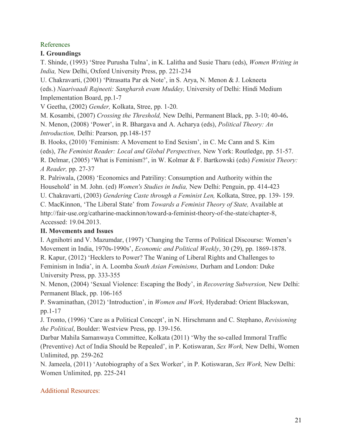# References

# **I. Groundings**

T. Shinde, (1993) 'Stree Purusha Tulna', in K. Lalitha and Susie Tharu (eds), *Women Writing in India,* New Delhi, Oxford University Press, pp. 221-234

U. Chakravarti, (2001) 'Pitrasatta Par ek Note', in S. Arya, N. Menon & J. Lokneeta (eds.) *Naarivaadi Rajneeti: Sangharsh evam Muddey,* University of Delhi: Hindi Medium Implementation Board, pp.1-7

V Geetha, (2002) *Gender,* Kolkata, Stree, pp. 1-20.

M. Kosambi, (2007) *Crossing the Threshold,* New Delhi, Permanent Black, pp. 3-10; 40-46**.** N. Menon, (2008) 'Power', in R. Bhargava and A. Acharya (eds), *Political Theory: An Introduction,* Delhi: Pearson*,* pp.148-157

B. Hooks, (2010) 'Feminism: A Movement to End Sexism', in C. Mc Cann and S. Kim (eds), *The Feminist Reader: Local and Global Perspectives,* New York: Routledge, pp. 51-57. R. Delmar, (2005) 'What is Feminism?', in W. Kolmar & F. Bartkowski (eds) *Feminist Theory:* 

*A Reader,* pp. 27-37

R. Palriwala, (2008) 'Economics and Patriliny: Consumption and Authority within the Household' in M. John. (ed) *Women's Studies in India,* New Delhi: Penguin, pp. 414-423

U. Chakravarti, (2003) *Gendering Caste through a Feminist Len,* Kolkata, Stree, pp. 139- 159. C. MacKinnon, 'The Liberal State' from *Towards a Feminist Theory of State,* Available at

http://fair-use.org/catharine-mackinnon/toward-a-feminist-theory-of-the-state/chapter-8, Accessed: 19.04.2013.

# **II. Movements and Issues**

I. Agnihotri and V. Mazumdar, (1997) 'Changing the Terms of Political Discourse: Women's Movement in India, 1970s-1990s', *Economic and Political Weekly*, 30 (29), pp. 1869-1878. R. Kapur, (2012) 'Hecklers to Power? The Waning of Liberal Rights and Challenges to Feminism in India', in A. Loomba *South Asian Feminisms,* Durham and London: Duke University Press, pp. 333-355

N. Menon, (2004) 'Sexual Violence: Escaping the Body', in *Recovering Subversion,* New Delhi: Permanent Black, pp. 106-165

P. Swaminathan, (2012) 'Introduction', in *Women and Work,* Hyderabad: Orient Blackswan, pp.1-17

J. Tronto, (1996) 'Care as a Political Concept', in N. Hirschmann and C. Stephano, *Revisioning the Political*, Boulder: Westview Press, pp. 139-156.

Darbar Mahila Samanwaya Committee, Kolkata (2011) 'Why the so-called Immoral Traffic (Preventive) Act of India Should be Repealed', in P. Kotiswaran, *Sex Work,* New Delhi, Women Unlimited, pp. 259-262

N. Jameela, (2011) 'Autobiography of a Sex Worker', in P. Kotiswaran, *Sex Work,* New Delhi: Women Unlimited, pp. 225-241

# Additional Resources: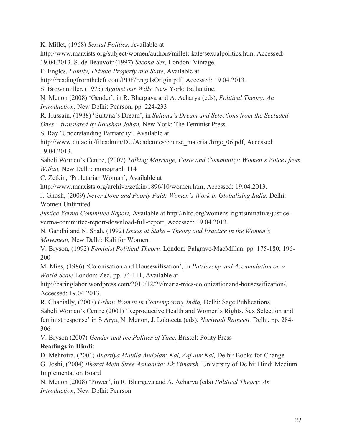K. Millet, (1968) *Sexual Politics,* Available at

http://www.marxists.org/subject/women/authors/millett-kate/sexualpolitics.htm, Accessed:

19.04.2013. S. de Beauvoir (1997) *Second Sex,* London: Vintage.

F. Engles, *Family, Private Property and State*, Available at

http://readingfromtheleft.com/PDF/EngelsOrigin.pdf, Accessed: 19.04.2013.

S. Brownmiller, (1975) *Against our Wills,* New York: Ballantine.

N. Menon (2008) 'Gender', in R. Bhargava and A. Acharya (eds), *Political Theory: An Introduction,* New Delhi: Pearson, pp. 224-233

R. Hussain, (1988) 'Sultana's Dream', in *Sultana's Dream and Selections from the Secluded Ones – translated by Roushan Jahan,* New York: The Feminist Press.

S. Ray 'Understanding Patriarchy', Available at

http://www.du.ac.in/fileadmin/DU/Academics/course\_material/hrge\_06.pdf, Accessed: 19.04.2013.

Saheli Women's Centre, (2007) *Talking Marriage, Caste and Community: Women's Voices from Within,* New Delhi: monograph 114

C. Zetkin, 'Proletarian Woman', Available at

http://www.marxists.org/archive/zetkin/1896/10/women.htm, Accessed: 19.04.2013.

J. Ghosh, (2009) *Never Done and Poorly Paid: Women's Work in Globalising India,* Delhi: Women Unlimited

*Justice Verma Committee Report,* Available at http://nlrd.org/womens-rightsinitiative/justiceverma-committee-report-download-full-report, Accessed: 19.04.2013.

N. Gandhi and N. Shah, (1992) *Issues at Stake – Theory and Practice in the Women's Movement,* New Delhi: Kali for Women.

V. Bryson, (1992) *Feminist Political Theory,* London*:* Palgrave-MacMillan, pp. 175-180; 196- 200

M. Mies, (1986) 'Colonisation and Housewifisation', in *Patriarchy and Accumulation on a World Scale* London: Zed, pp. 74-111, Available at

http://caringlabor.wordpress.com/2010/12/29/maria-mies-colonizationand-housewifization/, Accessed: 19.04.2013.

R. Ghadially, (2007) *Urban Women in Contemporary India,* Delhi: Sage Publications. Saheli Women's Centre (2001) 'Reproductive Health and Women's Rights, Sex Selection and feminist response' in S Arya, N. Menon, J. Lokneeta (eds), *Nariwadi Rajneeti,* Delhi, pp. 284- 306

V. Bryson (2007) *Gender and the Politics of Time,* Bristol: Polity Press

# **Readings in Hindi:**

D. Mehrotra, (2001) *Bhartiya Mahila Andolan: Kal, Aaj aur Kal,* Delhi: Books for Change G. Joshi, (2004) *Bharat Mein Stree Asmaanta: Ek Vimarsh,* University of Delhi: Hindi Medium Implementation Board

N. Menon (2008) 'Power', in R. Bhargava and A. Acharya (eds) *Political Theory: An Introduction*, New Delhi: Pearson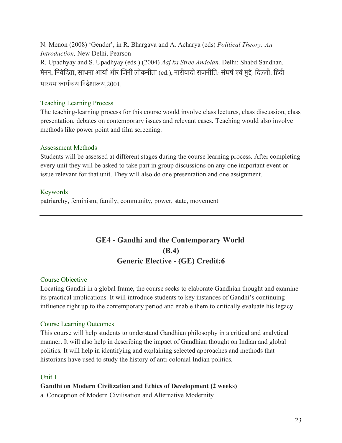N. Menon (2008) 'Gender', in R. Bhargava and A. Acharya (eds) *Political Theory: An Introduction,* New Delhi, Pearson R. Upadhyay and S. Upadhyay (eds.) (2004) *Aaj ka Stree Andolan,* Delhi: Shabd Sandhan. मेनन, िनवेिदता, साधना आयारऔर िजनी लोकनीता (ed.), नारीवादी राजनीित*:* संघषरएवं मुदे*,* िदली: िहं दी माधम कायरनय िनदेशालय,2001.

#### Teaching Learning Process

The teaching-learning process for this course would involve class lectures, class discussion, class presentation, debates on contemporary issues and relevant cases. Teaching would also involve methods like power point and film screening.

#### Assessment Methods

Students will be assessed at different stages during the course learning process. After completing every unit they will be asked to take part in group discussions on any one important event or issue relevant for that unit. They will also do one presentation and one assignment.

#### Keywords

patriarchy, feminism, family, community, power, state, movement

# **GE4 - Gandhi and the Contemporary World (B.4) Generic Elective - (GE) Credit:6**

#### Course Objective

Locating Gandhi in a global frame, the course seeks to elaborate Gandhian thought and examine its practical implications. It will introduce students to key instances of Gandhi's continuing influence right up to the contemporary period and enable them to critically evaluate his legacy.

#### Course Learning Outcomes

This course will help students to understand Gandhian philosophy in a critical and analytical manner. It will also help in describing the impact of Gandhian thought on Indian and global politics. It will help in identifying and explaining selected approaches and methods that historians have used to study the history of anti-colonial Indian politics.

#### Unit 1

# **Gandhi on Modern Civilization and Ethics of Development (2 weeks)**

a. Conception of Modern Civilisation and Alternative Modernity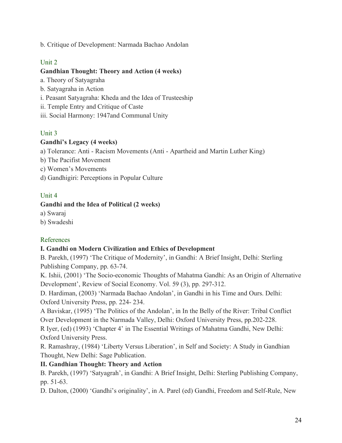b. Critique of Development: Narmada Bachao Andolan

# Unit 2

#### **Gandhian Thought: Theory and Action (4 weeks)**

- a. Theory of Satyagraha
- b. Satyagraha in Action
- i. Peasant Satyagraha: Kheda and the Idea of Trusteeship
- ii. Temple Entry and Critique of Caste
- iii. Social Harmony: 1947and Communal Unity

# Unit 3

#### **Gandhi's Legacy (4 weeks)**

- a) Tolerance: Anti Racism Movements (Anti Apartheid and Martin Luther King)
- b) The Pacifist Movement
- c) Women's Movements
- d) Gandhigiri: Perceptions in Popular Culture

#### Unit 4

#### **Gandhi and the Idea of Political (2 weeks)**

- a) Swaraj
- b) Swadeshi

# References

# **I. Gandhi on Modern Civilization and Ethics of Development**

B. Parekh, (1997) 'The Critique of Modernity', in Gandhi: A Brief Insight, Delhi: Sterling Publishing Company, pp. 63-74.

K. Ishii, (2001) 'The Socio-economic Thoughts of Mahatma Gandhi: As an Origin of Alternative Development', Review of Social Economy. Vol. 59 (3), pp. 297-312.

D. Hardiman, (2003) 'Narmada Bachao Andolan', in Gandhi in his Time and Ours. Delhi: Oxford University Press, pp. 224- 234.

A Baviskar, (1995) 'The Politics of the Andolan', in In the Belly of the River: Tribal Conflict Over Development in the Narmada Valley, Delhi: Oxford University Press, pp.202-228.

R Iyer, (ed) (1993) 'Chapter 4' in The Essential Writings of Mahatma Gandhi, New Delhi: Oxford University Press.

R. Ramashray, (1984) 'Liberty Versus Liberation', in Self and Society: A Study in Gandhian Thought, New Delhi: Sage Publication.

# **II. Gandhian Thought: Theory and Action**

B. Parekh, (1997) 'Satyagrah', in Gandhi: A Brief Insight, Delhi: Sterling Publishing Company, pp. 51-63.

D. Dalton, (2000) 'Gandhi's originality', in A. Parel (ed) Gandhi, Freedom and Self-Rule, New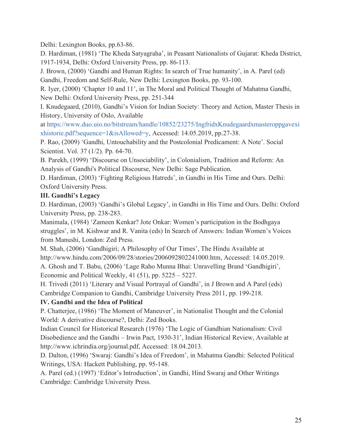Delhi: Lexington Books, pp.63-86.

D. Hardiman, (1981) 'The Kheda Satyagraha', in Peasant Nationalists of Gujarat: Kheda District, 1917-1934, Delhi: Oxford University Press, pp. 86-113.

J. Brown, (2000) 'Gandhi and Human Rights: In search of True humanity', in A. Parel (ed) Gandhi, Freedom and Self-Rule, New Delhi: Lexington Books, pp. 93-100.

R. Iyer, (2000) 'Chapter 10 and 11', in The Moral and Political Thought of Mahatma Gandhi, New Delhi: Oxford University Press, pp. 251-344

I. Knudegaard, (2010), Gandhi's Vision for Indian Society: Theory and Action, Master Thesis in History, University of Oslo, Available

at https://www.duo.uio.no/bitstream/handle/10852/23275/IngfridxKnudegaardxmasteroppgavexi xhistorie.pdf?sequence=1&isAllowed=y, Accessed: 14.05.2019, pp.27-38.

P. Rao, (2009) 'Gandhi, Untouchability and the Postcolonial Predicament: A Note'. Social Scientist. Vol. 37 (1/2). Pp. 64-70.

B. Parekh, (1999) 'Discourse on Unsociability', in Colonialism, Tradition and Reform: An Analysis of Gandhi's Political Discourse, New Delhi: Sage Publication.

D. Hardiman, (2003) 'Fighting Religious Hatreds', in Gandhi in His Time and Ours. Delhi: Oxford University Press.

# **III. Gandhi's Legacy**

D. Hardiman, (2003) 'Gandhi's Global Legacy', in Gandhi in His Time and Ours. Delhi: Oxford University Press, pp. 238-283.

Manimala, (1984) 'Zameen Kenkar? Jote Onkar: Women's participation in the Bodhgaya struggles', in M. Kishwar and R. Vanita (eds) In Search of Answers: Indian Women's Voices from Manushi, London: Zed Press.

M. Shah, (2006) 'Gandhigiri; A Philosophy of Our Times', The Hindu Available at http://www.hindu.com/2006/09/28/stories/2006092802241000.htm, Accessed: 14.05.2019. A. Ghosh and T. Babu, (2006) 'Lage Raho Munna Bhai: Unravelling Brand 'Gandhigiri', Economic and Political Weekly, 41 (51), pp. 5225 – 5227.

H. Trivedi (2011) 'Literary and Visual Portrayal of Gandhi', in J Brown and A Parel (eds) Cambridge Companion to Gandhi, Cambridge University Press 2011, pp. 199-218.

# **IV. Gandhi and the Idea of Political**

P. Chatterjee, (1986) 'The Moment of Maneuver', in Nationalist Thought and the Colonial World: A derivative discourse?, Delhi: Zed Books.

Indian Council for Historical Research (1976) 'The Logic of Gandhian Nationalism: Civil Disobedience and the Gandhi – Irwin Pact, 1930-31', Indian Historical Review, Available at http://www.ichrindia.org/journal.pdf, Accessed: 18.04.2013.

D. Dalton, (1996) 'Swaraj: Gandhi's Idea of Freedom', in Mahatma Gandhi: Selected Political Writings, USA: Hackett Publishing, pp. 95-148.

A. Parel (ed.) (1997) 'Editor's Introduction', in Gandhi, Hind Swaraj and Other Writings Cambridge: Cambridge University Press.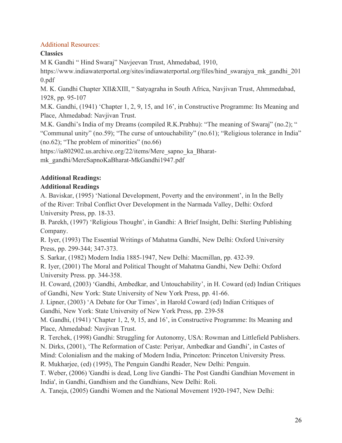# Additional Resources:

# **Classics**

M K Gandhi " Hind Swaraj" Navjeevan Trust, Ahmedabad, 1910,

https://www.indiawaterportal.org/sites/indiawaterportal.org/files/hind\_swarajya\_mk\_gandhi\_201 0.pdf

M. K. Gandhi Chapter XII&XIII, " Satyagraha in South Africa, Navjivan Trust, Ahmmedabad, 1928, pp. 95-107

M.K. Gandhi, (1941) 'Chapter 1, 2, 9, 15, and 16', in Constructive Programme: Its Meaning and Place, Ahmedabad: Navjivan Trust.

M.K. Gandhi's India of my Dreams (compiled R.K.Prabhu): "The meaning of Swaraj" (no.2); " "Communal unity" (no.59); "The curse of untouchability" (no.61); "Religious tolerance in India"

(no.62); "The problem of minorities" (no.66)

https://ia802902.us.archive.org/22/items/Mere\_sapno\_ka\_Bharat-

mk\_gandhi/MereSapnoKaBharat-MkGandhi1947.pdf

# **Additional Readings:**

# **Additional Readings**

A. Baviskar, (1995) 'National Development, Poverty and the environment', in In the Belly of the River: Tribal Conflict Over Development in the Narmada Valley, Delhi: Oxford University Press, pp. 18-33.

B. Parekh, (1997) 'Religious Thought', in Gandhi: A Brief Insight, Delhi: Sterling Publishing Company.

R. Iyer, (1993) The Essential Writings of Mahatma Gandhi, New Delhi: Oxford University Press, pp. 299-344; 347-373.

S. Sarkar, (1982) Modern India 1885-1947, New Delhi: Macmillan, pp. 432-39.

R. Iyer, (2001) The Moral and Political Thought of Mahatma Gandhi, New Delhi: Oxford University Press. pp. 344-358.

H. Coward, (2003) 'Gandhi, Ambedkar, and Untouchability', in H. Coward (ed) Indian Critiques of Gandhi, New York: State University of New York Press, pp. 41-66.

J. Lipner, (2003) 'A Debate for Our Times', in Harold Coward (ed) Indian Critiques of Gandhi, New York: State University of New York Press, pp. 239-58

M. Gandhi, (1941) 'Chapter 1, 2, 9, 15, and 16', in Constructive Programme: Its Meaning and Place, Ahmedabad: Navjivan Trust.

R. Terchek, (1998) Gandhi: Struggling for Autonomy, USA: Rowman and Littlefield Publishers. N. Dirks, (2001), 'The Reformation of Caste: Periyar, Ambedkar and Gandhi', in Castes of

Mind: Colonialism and the making of Modern India, Princeton: Princeton University Press.

R. Mukharjee, (ed) (1995), The Penguin Gandhi Reader, New Delhi: Penguin.

T. Weber, (2006) 'Gandhi is dead, Long live Gandhi- The Post Gandhi Gandhian Movement in India', in Gandhi, Gandhism and the Gandhians, New Delhi: Roli.

A. Taneja, (2005) Gandhi Women and the National Movement 1920-1947, New Delhi: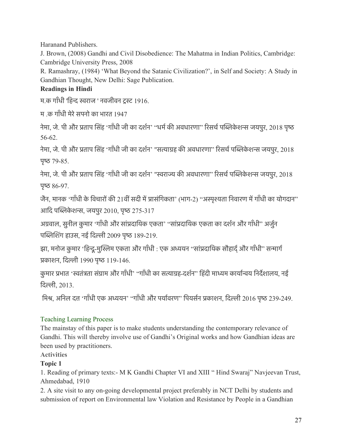Haranand Publishers.

J. Brown, (2008) Gandhi and Civil Disobedience: The Mahatma in Indian Politics, Cambridge: Cambridge University Press, 2008

R. Ramashray, (1984) 'What Beyond the Satanic Civilization?', in Self and Society: A Study in Gandhian Thought, New Delhi: Sage Publication.

# **Readings in Hindi**

म.क गाँधी 'हिन्द स्वराज ' नवजीवन टस्ट 1916.

म .क गाँधी मेरेसपनो का भारत 1947

नेमा, जे. पी और प्रताप सिंह 'गाँधी जी का दर्शन' ''धर्म की अवधारणा'' रिसर्च पब्लिकेशन्स जयपुर, 2018 पृष्ठ 56-62.

नेमा, जे. पी और प्रताप सिंह 'गाँधी जी का दर्शन' "सत्याग्रह की अवधारणा" रिसर्च पब्लिकेशन्स जयपुर, 2018 पृष्ठ  $79-85$ .

नेमा, जे. पी और प्रताप सिंह 'गाँधी जी का दर्शन' "स्वराज्य की अवधारणा" रिसर्च पब्लिकेशन्स जयपुर, 2018 पृष्ठ  $86-97$ .

जैन, मानक 'गाँधी के विचारों की 21वीं सदी में प्रासंगिकता' (भाग-2) "अस्पृश्यता निवारण में गाँधी का योगदान" आदि पब्लिकेशन्स, जयपुर 2010, पृष्ठ 275-317

अग्रवाल, सुनील कुमार 'गाँधी और सांप्रदायिक एकता' "सांप्रदायिक एकता का दर्शन और गाँधी" अर्जुन पब्लिशिंग हाउस, नई दिल्ली 2009 पृष्ठ 189-219.

झा, मनोज कुमार 'हिन्दू-मुस्लिम एकता और गाँधी : एक अध्ययन "सांप्रदायिक सौहार्द् और गाँधी" सन्मार्ग पकाशन, िदली 1990 पृष 119-146.

कुमार प्रभात 'स्वतंत्रता संग्राम और गाँधी' "गाँधी का सत्याग्रह-दर्शन" हिंदी माध्यम कार्यान्वय निर्देशालय, नई िदली, 2013.

मिश्र, अनिल दत्त 'गाँधी एक अध्ययन' "गाँधी और पर्यावरण" पियर्सन प्रकाशन, दिल्ली 2016 पृष्ठ 239-249.

# Teaching Learning Process

The mainstay of this paper is to make students understanding the contemporary relevance of Gandhi. This will thereby involve use of Gandhi's Original works and how Gandhian ideas are been used by practitioners.

# **Activities**

# **Topic 1**

1. Reading of primary texts:- M K Gandhi Chapter VI and XIII " Hind Swaraj" Navjeevan Trust, Ahmedabad, 1910

2. A site visit to any on-going developmental project preferably in NCT Delhi by students and submission of report on Environmental law Violation and Resistance by People in a Gandhian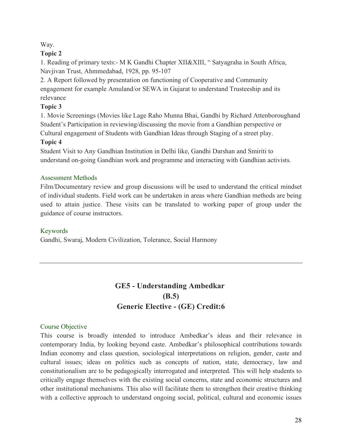# Way.

# **Topic 2**

1. Reading of primary texts:- M K Gandhi Chapter XII&XIII, " Satyagraha in South Africa, Navjivan Trust, Ahmmedabad, 1928, pp. 95-107

2. A Report followed by presentation on functioning of Cooperative and Community engagement for example Amuland/or SEWA in Gujarat to understand Trusteeship and its relevance

# **Topic 3**

1. Movie Screenings (Movies like Lage Raho Munna Bhai, Gandhi by Richard Attenboroughand Student's Participation in reviewing/discussing the movie from a Gandhian perspective or Cultural engagement of Students with Gandhian Ideas through Staging of a street play.

# **Topic 4**

Student Visit to Any Gandhian Institution in Delhi like, Gandhi Darshan and Smiriti to understand on-going Gandhian work and programme and interacting with Gandhian activists.

# Assessment Methods

Film/Documentary review and group discussions will be used to understand the critical mindset of individual students. Field work can be undertaken in areas where Gandhian methods are being used to attain justice. These visits can be translated to working paper of group under the guidance of course instructors.

# Keywords

Gandhi, Swaraj, Modern Civilization, Tolerance, Social Harmony

# **GE5 - Understanding Ambedkar (B.5) Generic Elective - (GE) Credit:6**

# Course Objective

This course is broadly intended to introduce Ambedkar's ideas and their relevance in contemporary India, by looking beyond caste. Ambedkar's philosophical contributions towards Indian economy and class question, sociological interpretations on religion, gender, caste and cultural issues; ideas on politics such as concepts of nation, state, democracy, law and constitutionalism are to be pedagogically interrogated and interpreted. This will help students to critically engage themselves with the existing social concerns, state and economic structures and other institutional mechanisms. This also will facilitate them to strengthen their creative thinking with a collective approach to understand ongoing social, political, cultural and economic issues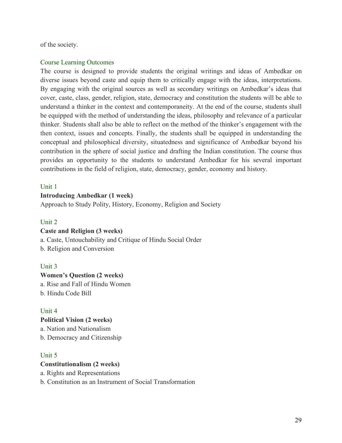#### of the society.

#### Course Learning Outcomes

The course is designed to provide students the original writings and ideas of Ambedkar on diverse issues beyond caste and equip them to critically engage with the ideas, interpretations. By engaging with the original sources as well as secondary writings on Ambedkar's ideas that cover, caste, class, gender, religion, state, democracy and constitution the students will be able to understand a thinker in the context and contemporaneity. At the end of the course, students shall be equipped with the method of understanding the ideas, philosophy and relevance of a particular thinker. Students shall also be able to reflect on the method of the thinker's engagement with the then context, issues and concepts. Finally, the students shall be equipped in understanding the conceptual and philosophical diversity, situatedness and significance of Ambedkar beyond his contribution in the sphere of social justice and drafting the Indian constitution. The course thus provides an opportunity to the students to understand Ambedkar for his several important contributions in the field of religion, state, democracy, gender, economy and history.

#### Unit 1

#### **Introducing Ambedkar (1 week)**

Approach to Study Polity, History, Economy, Religion and Society

#### Unit 2

#### **Caste and Religion (3 weeks)**

a. Caste, Untouchability and Critique of Hindu Social Order

b. Religion and Conversion

#### Unit 3

**Women's Question (2 weeks)** a. Rise and Fall of Hindu Women b. Hindu Code Bill

#### Unit 4

**Political Vision (2 weeks)** a. Nation and Nationalism b. Democracy and Citizenship

#### Unit 5

#### **Constitutionalism (2 weeks)**

a. Rights and Representations

b. Constitution as an Instrument of Social Transformation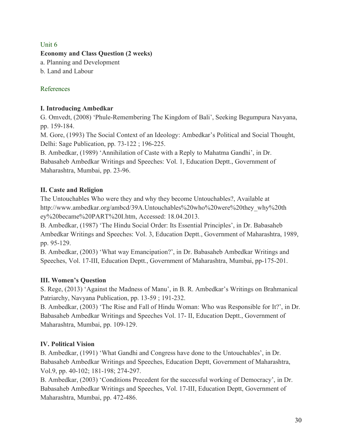# Unit 6

#### **Economy and Class Question (2 weeks)**

a. Planning and Development

b. Land and Labour

# References

# **I. Introducing Ambedkar**

G. Omvedt, (2008) 'Phule-Remembering The Kingdom of Bali', Seeking Begumpura Navyana, pp. 159-184.

M. Gore, (1993) The Social Context of an Ideology: Ambedkar's Political and Social Thought, Delhi: Sage Publication, pp. 73-122 ; 196-225.

B. Ambedkar, (1989) 'Annihilation of Caste with a Reply to Mahatma Gandhi', in Dr. Babasaheb Ambedkar Writings and Speeches: Vol. 1, Education Deptt., Government of Maharashtra, Mumbai, pp. 23-96.

# **II. Caste and Religion**

The Untouchables Who were they and why they become Untouchables?, Available at http://www.ambedkar.org/ambcd/39A.Untouchables%20who%20were%20they\_why%20th ey%20became%20PART%20I.htm, Accessed: 18.04.2013.

B. Ambedkar, (1987) 'The Hindu Social Order: Its Essential Principles', in Dr. Babasaheb Ambedkar Writings and Speeches: Vol. 3, Education Deptt., Government of Maharashtra, 1989, pp. 95-129.

B. Ambedkar, (2003) 'What way Emancipation?', in Dr. Babasaheb Ambedkar Writings and Speeches, Vol. 17-III, Education Deptt., Government of Maharashtra, Mumbai, pp-175-201.

# **III. Women's Question**

S. Rege, (2013) 'Against the Madness of Manu', in B. R. Ambedkar's Writings on Brahmanical Patriarchy, Navyana Publication, pp. 13-59 ; 191-232.

B. Ambedkar, (2003) 'The Rise and Fall of Hindu Woman: Who was Responsible for It?', in Dr. Babasaheb Ambedkar Writings and Speeches Vol. 17- II, Education Deptt., Government of Maharashtra, Mumbai, pp. 109-129.

# **IV. Political Vision**

B. Ambedkar, (1991) 'What Gandhi and Congress have done to the Untouchables', in Dr. Babasaheb Ambedkar Writings and Speeches, Education Deptt, Government of Maharashtra, Vol.9, pp. 40-102; 181-198; 274-297.

B. Ambedkar, (2003) 'Conditions Precedent for the successful working of Democracy', in Dr. Babasaheb Ambedkar Writings and Speeches, Vol. 17-III, Education Deptt, Government of Maharashtra, Mumbai, pp. 472-486.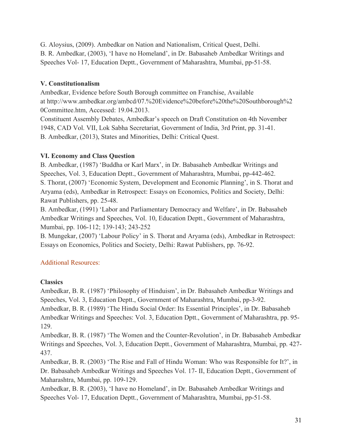G. Aloysius, (2009). Ambedkar on Nation and Nationalism, Critical Quest, Delhi. B. R. Ambedkar, (2003), 'I have no Homeland', in Dr. Babasaheb Ambedkar Writings and Speeches Vol- 17, Education Deptt., Government of Maharashtra, Mumbai, pp-51-58.

# **V. Constitutionalism**

Ambedkar, Evidence before South Borough committee on Franchise, Available at http://www.ambedkar.org/ambcd/07.%20Evidence%20before%20the%20Southborough%2 0Committee.htm, Accessed: 19.04.2013.

Constituent Assembly Debates, Ambedkar's speech on Draft Constitution on 4th November 1948, CAD Vol. VII, Lok Sabha Secretariat, Government of India, 3rd Print, pp. 31-41. B. Ambedkar, (2013), States and Minorities, Delhi: Critical Quest.

# **VI. Economy and Class Question**

B. Ambedkar, (1987) 'Buddha or Karl Marx', in Dr. Babasaheb Ambedkar Writings and Speeches, Vol. 3, Education Deptt., Government of Maharashtra, Mumbai, pp-442-462. S. Thorat, (2007) 'Economic System, Development and Economic Planning', in S. Thorat and Aryama (eds), Ambedkar in Retrospect: Essays on Economics, Politics and Society, Delhi: Rawat Publishers, pp. 25-48.

B. Ambedkar, (1991) 'Labor and Parliamentary Democracy and Welfare', in Dr. Babasaheb Ambedkar Writings and Speeches, Vol. 10, Education Deptt., Government of Maharashtra, Mumbai, pp. 106-112; 139-143; 243-252

B. Mungekar, (2007) 'Labour Policy' in S. Thorat and Aryama (eds), Ambedkar in Retrospect: Essays on Economics, Politics and Society, Delhi: Rawat Publishers, pp. 76-92.

# Additional Resources:

# **Classics**

Ambedkar, B. R. (1987) 'Philosophy of Hinduism', in Dr. Babasaheb Ambedkar Writings and Speeches, Vol. 3, Education Deptt., Government of Maharashtra, Mumbai, pp-3-92.

Ambedkar, B. R. (1989) 'The Hindu Social Order: Its Essential Principles', in Dr. Babasaheb Ambedkar Writings and Speeches: Vol. 3, Education Dptt., Government of Maharashtra, pp. 95- 129.

Ambedkar, B. R. (1987) 'The Women and the Counter-Revolution', in Dr. Babasaheb Ambedkar Writings and Speeches, Vol. 3, Education Deptt., Government of Maharashtra, Mumbai, pp. 427- 437.

Ambedkar, B. R. (2003) 'The Rise and Fall of Hindu Woman: Who was Responsible for It?', in Dr. Babasaheb Ambedkar Writings and Speeches Vol. 17- II, Education Deptt., Government of Maharashtra, Mumbai, pp. 109-129.

Ambedkar, B. R. (2003), 'I have no Homeland', in Dr. Babasaheb Ambedkar Writings and Speeches Vol- 17, Education Deptt., Government of Maharashtra, Mumbai, pp-51-58.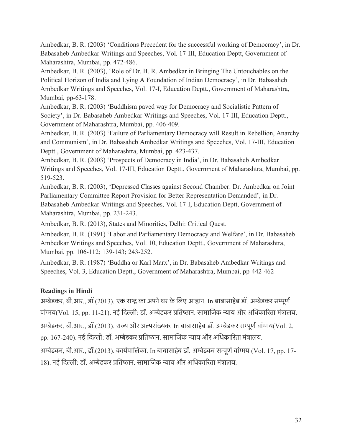Ambedkar, B. R. (2003) 'Conditions Precedent for the successful working of Democracy', in Dr. Babasaheb Ambedkar Writings and Speeches, Vol. 17-III, Education Deptt, Government of Maharashtra, Mumbai, pp. 472-486.

Ambedkar, B. R. (2003), 'Role of Dr. B. R. Ambedkar in Bringing The Untouchables on the Political Horizon of India and Lying A Foundation of Indian Democracy', in Dr. Babasaheb Ambedkar Writings and Speeches, Vol. 17-I, Education Deptt., Government of Maharashtra, Mumbai, pp-63-178.

Ambedkar, B. R. (2003) 'Buddhism paved way for Democracy and Socialistic Pattern of Society', in Dr. Babasaheb Ambedkar Writings and Speeches, Vol. 17-III, Education Deptt., Government of Maharashtra, Mumbai, pp. 406-409.

Ambedkar, B. R. (2003) 'Failure of Parliamentary Democracy will Result in Rebellion, Anarchy and Communism', in Dr. Babasaheb Ambedkar Writings and Speeches, Vol. 17-III, Education Deptt., Government of Maharashtra, Mumbai, pp. 423-437.

Ambedkar, B. R. (2003) 'Prospects of Democracy in India', in Dr. Babasaheb Ambedkar Writings and Speeches, Vol. 17-III, Education Deptt., Government of Maharashtra, Mumbai, pp. 519-523.

Ambedkar, B. R. (2003), 'Depressed Classes against Second Chamber: Dr. Ambedkar on Joint Parliamentary Committee Report Provision for Better Representation Demanded', in Dr. Babasaheb Ambedkar Writings and Speeches, Vol. 17-I, Education Deptt, Government of Maharashtra, Mumbai, pp. 231-243.

Ambedkar, B. R. (2013), States and Minorities, Delhi: Critical Quest.

Ambedkar, B. R. (1991) 'Labor and Parliamentary Democracy and Welfare', in Dr. Babasaheb Ambedkar Writings and Speeches, Vol. 10, Education Deptt., Government of Maharashtra, Mumbai, pp. 106-112; 139-143; 243-252.

Ambedkar, B. R. (1987) 'Buddha or Karl Marx', in Dr. Babasaheb Ambedkar Writings and Speeches, Vol. 3, Education Deptt., Government of Maharashtra, Mumbai, pp-442-462

# **Readings in Hindi**

अम्बेडकर, बी.आर., डॉ.(2013). एक राष्ट्र का अपने घर के लिए आह्वान. In बाबासाहेब डॉ. अम्बेडकर सम्पूर्ण वांग्मय(Vol. 15, pp. 11-21). नई दिल्ली: डॉ. अम्बेडकर प्रतिष्ठान. सामाजिक न्याय और अधिकारिता मंत्रालय.

अमेडकर, बी.आर., डॉ.(2013). राज और अलसंखक. In बाबासाहेब डॉ*.* अमेडकर समूणरवांगय(Vol. 2, pp. 167-240). नई दिल्ली: डॉ. अम्बेडकर प्रतिष्ठान. सामाजिक न्याय और अधिकारिता मंत्रालय.

अमेडकर, बी.आर., डॉ.(2013). कायरपािलका. In बाबासाहेब डॉ*.* अमेडकर समूणरवांगय (Vol. 17, pp. 17- 18). नई दिल्ली: डॉ. अम्बेडकर प्रतिष्ठान. सामाजिक न्याय और अधिकारिता मंत्रालय.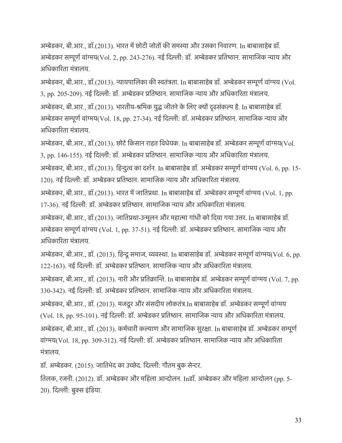अमेडकर, बी.आर., डॉ.(2013). भारत मेछोटी जोतो की समसा और उसका िनवारण. In बाबासाहेब डॉ*.*  अम्बेडकर सम्पूर्ण वांग्मय(Vol. 2, pp. 243-276). नई दिल्ली: डॉ. अम्बेडकर प्रतिष्ठान. सामाजिक न्याय और अधिकारिता मंत्रालय .

अमेडकर, बी.आर., डॉ.(2013). नायपािलका की सतंतता. In बाबासाहेब डॉ*.* अमेडकर समूणरवांगय (Vol. 3, pp. 205-209). नई दिल्ली: डॉ. अम्बेडकर प्रतिष्ठान. सामाजिक न्याय और अधिकारिता मंत्रालय. अम्बेडकर, बी.आर., डॉ.(2013). भारतीय-श्रमिक युद्ध जीतने के लिए क्यों दृढ़संकल्प है. In बाबासाहेब डॉ. अम्बेडकर सम्पूर्ण वांग्मय(Vol. 18, pp. 27-34). नई दिल्ली: डॉ. अम्बेडकर प्रतिष्ठान. सामाजिक न्याय और

अधिकारिता मंत्रालय .

अमेडकर, बी.आर., डॉ.(2013). छोटेिकसान राहत िवधेयक. In बाबासाहेब डॉ*.* अमेडकर समूणरवांगय(Vol. 3, pp. 146-155). नई दिल्ली: डॉ. अम्बेडकर प्रतिष्ठान. सामाजिक न्याय और अधिकारिता मंत्रालय.

अमेडकर, बी.आर., डॉ.(2013). िहनुत का दशरन. In बाबासाहेब डॉ*.* अमेडकर समूणरवांगय (Vol. 6, pp. 15- 120). नई दिल्ली: डॉ. अम्बेडकर प्रतिष्ठान. सामाजिक न्याय और अधिकारिता मंत्रालय.

अमेडकर, बी.आर., डॉ.(2013). भारत मेजाितपथा. In बाबासाहेब डॉ*.* अमेडकर समूणरवांगय (Vol. 1, pp. 17-36). नई दिल्ली: डॉ. अम्बेडकर प्रतिष्ठान. सामाजिक न्याय और अधिकारिता मंत्रालय.

अमेडकर, बी.आर., डॉ.(2013). जाितपथा-उनूलन और महाता गांधी को िदया गया उतर. In बाबासाहेब डॉ*.*  अम्बेडकर सम्पूर्ण वांग्मय (Vol. 1, pp. 37-51). नई दिल्ली: डॉ. अम्बेडकर प्रतिष्ठान. सामाजिक न्याय और अधिकारिता मंत्रालय.

अमेडकर, बी.आर., डॉ. (2013). िहनूसमाज, ववसा. In बाबासाहेब डॉ*.* अमेडकर समूणरवांगय(Vol. 6, pp. 122-163). नई दिल्ली: डॉ. अम्बेडकर प्रतिष्ठान. सामाजिक न्याय और अधिकारिता मंत्रालय.

अमेडकर, बी.आर., डॉ. (2013). नारी और पितकािन. In बाबासाहेब डॉ*.* अमेडकर समूणरवांगय (Vol. 7, pp. 330-342). नई दिल्ली: डॉ. अम्बेडकर प्रतिष्ठान. सामाजिक न्याय और अधिकारिता मंत्रालय.

अमेडकर, बी.आर., डॉ. (2013). मजदूर और संसदीय लोकतंत.In बाबासाहेब डॉ*.* अमेडकर समूणरवांगय (Vol. 18, pp. 95-101). नई दिल्ली: डॉ. अम्बेडकर प्रतिष्ठान. सामाजिक न्याय और अधिकारिता मंत्रालय.

अमेडकर, बी.आर., डॉ. (2013). कमरचारी कलाण और सामािजक सुरका. In बाबासाहेब डॉ*.* अमेडकर समूणर वांगय(Vol. 18, pp. 309-312). नई िदली: डॉ. अमेडकर पितषान. सामािजक नाय और अिधकािरता मंतालय.

डॉ. अम्बेडकर. (2015). जातिभेद का उच्छेद. दिल्ली: गौतम बुक सेन्टर.

ितलक, रजनी. (2012). डॉ. अमेडकर और मिहला आनोलन. Inडॉ*.* अमेडकर और मिहला आनोलन (pp. 5- 20). दिल्ली: बुक्स इंडिया.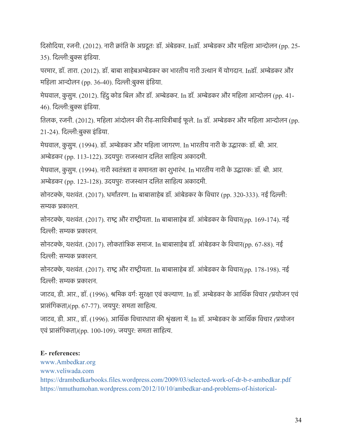िदसोिदया, रजनी. (2012). नारी कांित के अगदूतः डॉ. अंबेडकर. Inडॉ*.* अमेडकर और मिहला आनोलन (pp. 25- 35). दिल्ली:बुक्स इंडिया.

परमार, डॉ. तारा. (2012). डॉ. बाबा साहेबअमेडकर का भारतीय नारी उतान मेयोगदान. Inडॉ*.* अमेडकर और महिला आन्दोलन (pp. 36-40). दिल्ली:बुक्स इंडिया.

मेघवाल, कु सुम. (2012). िहं दुकोड िबल और डॉ. अमेडकर. In डॉ*.* अमेडकर और मिहला आनोलन (pp. 41- 46). दिल्ली:बुक्स इंडिया.

ितलक, रजनी. (2012). मिहला आं दोलन की रीढ़-सािवतीबाई फू ले. In डॉ*.* अमेडकर और मिहला आनोलन (pp. 21-24). दिल्ली:बुक्स इंडिया.

मेघवाल, कु सुम. (1994). डॉ. अमेडकर और मिहला जागरण. In भारतीय नारी के उदारकः डॉ*.* बी*.* आर*.*  अम्बेडकर (pp. 113-122). उदयपुरः राजस्थान दलित साहित्य अकादमी.

मेघवाल, कु सुम. (1994). नारी सतंतता व समानता का शुभारंभ. In भारतीय नारी के उदारकः डॉ*.* बी*.* आर*.*  अम्बेडकर (pp. 123-128). उदयपुरः राजस्थान दलित साहित्य अकादमी.

सोनटके, यशवंत. (2017). धमारतरण. In बाबासाहेब डॉ*.* आं बेडकर के िवचार (pp. 320-333). नई िदली: समक पकाशन.

सोनटक्के, यशवंत. (2017). राष्ट्र और राष्ट्रीयता. In बाबासाहेब डॉ. आंबेडकर के विचार(pp. 169-174). नई िदली: समक पकाशन.

सोनटके, यशवंत. (2017). लोकतांितक समाज. In बाबासाहेब डॉ*.* आं बेडकर के िवचार(pp. 67-88). नई िदली: समक पकाशन.

सोनटक्के, यशवंत. (2017). राष्ट्र और राष्ट्रीयता. In बाबासाहेब डॉ. आंबेडकर के विचार(pp. 178-198). नई िदली: समक पकाशन.

जाटव, डी. आर., डॉ. (1996). शिमक वगरः सुरका एवंकलाण. In डॉ*.* अमेडकर के आिथर क िवचार *(*पयोजन एवं पासंिगकता*)*(pp. 67-77). जयपुर: समता सािहत.

जाटव, डी. आर., डॉ. (1996). आिथर क िवचारधारा की शृंखला मे. In डॉ*.* अमेडकर के आिथर क िवचार *(*पयोजन एवं पासंिगकता*)*(pp. 100-109). जयपुर: समता सािहत.

#### **E- references:**

www.Ambedkar.org

www.veliwada.com

https://drambedkarbooks.files.wordpress.com/2009/03/selected-work-of-dr-b-r-ambedkar.pdf https://nmuthumohan.wordpress.com/2012/10/10/ambedkar-and-problems-of-historical-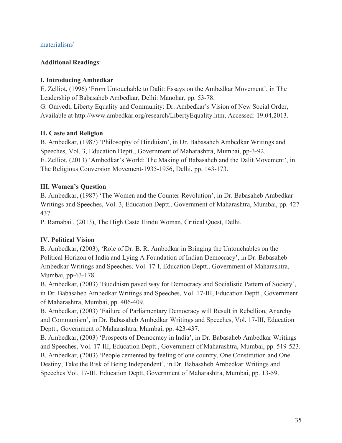#### materialism/

#### **Additional Readings**:

#### **I. Introducing Ambedkar**

E. Zelliot, (1996) 'From Untouchable to Dalit: Essays on the Ambedkar Movement', in The Leadership of Babasaheb Ambedkar, Delhi: Manohar, pp. 53-78.

G. Omvedt, Liberty Equality and Community: Dr. Ambedkar's Vision of New Social Order, Available at http://www.ambedkar.org/research/LibertyEquality.htm, Accessed: 19.04.2013.

#### **II. Caste and Religion**

B. Ambedkar, (1987) 'Philosophy of Hinduism', in Dr. Babasaheb Ambedkar Writings and Speeches, Vol. 3, Education Deptt., Government of Maharashtra, Mumbai, pp-3-92. E. Zelliot, (2013) 'Ambedkar's World: The Making of Babasaheb and the Dalit Movement', in The Religious Conversion Movement-1935-1956, Delhi, pp. 143-173.

# **III. Women's Question**

B. Ambedkar, (1987) 'The Women and the Counter-Revolution', in Dr. Babasaheb Ambedkar Writings and Speeches, Vol. 3, Education Deptt., Government of Maharashtra, Mumbai, pp. 427- 437.

P. Ramabai , (2013), The High Caste Hindu Woman, Critical Quest, Delhi.

# **IV. Political Vision**

B. Ambedkar, (2003), 'Role of Dr. B. R. Ambedkar in Bringing the Untouchables on the Political Horizon of India and Lying A Foundation of Indian Democracy', in Dr. Babasaheb Ambedkar Writings and Speeches, Vol. 17-I, Education Deptt., Government of Maharashtra, Mumbai, pp-63-178.

B. Ambedkar, (2003) 'Buddhism paved way for Democracy and Socialistic Pattern of Society', in Dr. Babasaheb Ambedkar Writings and Speeches, Vol. 17-III, Education Deptt., Government of Maharashtra, Mumbai, pp. 406-409.

B. Ambedkar, (2003) 'Failure of Parliamentary Democracy will Result in Rebellion, Anarchy and Communism', in Dr. Babasaheb Ambedkar Writings and Speeches, Vol. 17-III, Education Deptt., Government of Maharashtra, Mumbai, pp. 423-437.

B. Ambedkar, (2003) 'Prospects of Democracy in India', in Dr. Babasaheb Ambedkar Writings and Speeches, Vol. 17-III, Education Deptt., Government of Maharashtra, Mumbai, pp. 519-523. B. Ambedkar, (2003) 'People cemented by feeling of one country, One Constitution and One Destiny, Take the Risk of Being Independent', in Dr. Babasaheb Ambedkar Writings and Speeches Vol. 17-III, Education Deptt, Government of Maharashtra, Mumbai, pp. 13-59.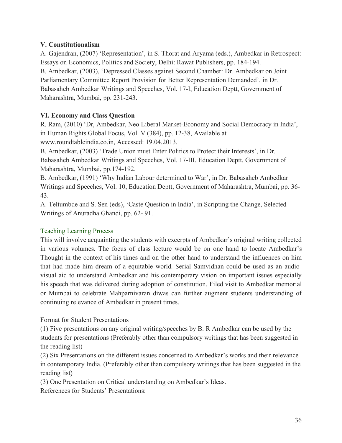#### **V. Constitutionalism**

A. Gajendran, (2007) 'Representation', in S. Thorat and Aryama (eds.), Ambedkar in Retrospect: Essays on Economics, Politics and Society, Delhi: Rawat Publishers, pp. 184-194. B. Ambedkar, (2003), 'Depressed Classes against Second Chamber: Dr. Ambedkar on Joint Parliamentary Committee Report Provision for Better Representation Demanded', in Dr. Babasaheb Ambedkar Writings and Speeches, Vol. 17-I, Education Deptt, Government of Maharashtra, Mumbai, pp. 231-243.

# **VI. Economy and Class Question**

R. Ram, (2010) 'Dr, Ambedkar, Neo Liberal Market-Economy and Social Democracy in India', in Human Rights Global Focus, Vol. V (384), pp. 12-38, Available at www.roundtableindia.co.in, Accessed: 19.04.2013.

B. Ambedkar, (2003) 'Trade Union must Enter Politics to Protect their Interests', in Dr. Babasaheb Ambedkar Writings and Speeches, Vol. 17-III, Education Deptt, Government of Maharashtra, Mumbai, pp.174-192.

B. Ambedkar, (1991) 'Why Indian Labour determined to War', in Dr. Babasaheb Ambedkar Writings and Speeches, Vol. 10, Education Deptt, Government of Maharashtra, Mumbai, pp. 36- 43.

A. Teltumbde and S. Sen (eds), 'Caste Question in India', in Scripting the Change, Selected Writings of Anuradha Ghandi, pp. 62- 91.

# Teaching Learning Process

This will involve acquainting the students with excerpts of Ambedkar's original writing collected in various volumes. The focus of class lecture would be on one hand to locate Ambedkar's Thought in the context of his times and on the other hand to understand the influences on him that had made him dream of a equitable world. Serial Samvidhan could be used as an audiovisual aid to understand Ambedkar and his contemporary vision on important issues especially his speech that was delivered during adoption of constitution. Filed visit to Ambedkar memorial or Mumbai to celebrate Mahparnivaran diwas can further augment students understanding of continuing relevance of Ambedkar in present times.

# Format for Student Presentations

(1) Five presentations on any original writing/speeches by B. R Ambedkar can be used by the students for presentations (Preferably other than compulsory writings that has been suggested in the reading list)

(2) Six Presentations on the different issues concerned to Ambedkar's works and their relevance in contemporary India. (Preferably other than compulsory writings that has been suggested in the reading list)

(3) One Presentation on Critical understanding on Ambedkar's Ideas.

References for Students' Presentations: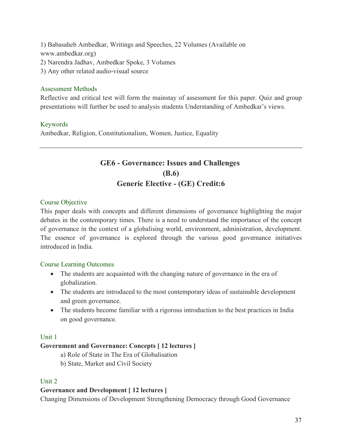1) Babasaheb Ambedkar, Writings and Speeches, 22 Volumes (Available on www.ambedkar.org) 2) Narendra Jadhav, Ambedkar Spoke, 3 Volumes 3) Any other related audio-visual source

#### Assessment Methods

Reflective and critical test will form the mainstay of assessment for this paper. Quiz and group presentations will further be used to analysis students Understanding of Ambedkar's views.

#### Keywords

Ambedkar, Religion, Constitutionalism, Women, Justice, Equality

# **GE6 - Governance: Issues and Challenges (B.6) Generic Elective - (GE) Credit:6**

#### Course Objective

This paper deals with concepts and different dimensions of governance highlighting the major debates in the contemporary times. There is a need to understand the importance of the concept of governance in the context of a globalising world, environment, administration, development. The essence of governance is explored through the various good governance initiatives introduced in India.

#### Course Learning Outcomes

- The students are acquainted with the changing nature of governance in the era of globalization.
- The students are introduced to the most contemporary ideas of sustainable development and green governance.
- The students become familiar with a rigorous introduction to the best practices in India on good governance.

#### Unit 1

#### **Government and Governance: Concepts [ 12 lectures ]**

- a) Role of State in The Era of Globalisation
- b) State, Market and Civil Society

#### Unit 2

#### **Governance and Development [ 12 lectures ]**

Changing Dimensions of Development Strengthening Democracy through Good Governance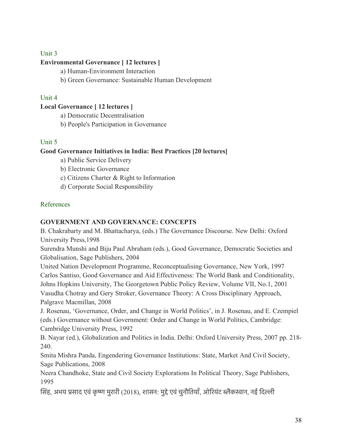# Unit 3

# **Environmental Governance [ 12 lectures ]**

a) Human-Environment Interaction

b) Green Governance: Sustainable Human Development

# Unit 4

# **Local Governance [ 12 lectures ]**

a) Democratic Decentralisation

b) People's Participation in Governance

# Unit 5

# **Good Governance Initiatives in India: Best Practices [20 lectures]**

- a) Public Service Delivery
- b) Electronic Governance
- c) Citizens Charter & Right to Information
- d) Corporate Social Responsibility

# References

# **GOVERNMENT AND GOVERNANCE: CONCEPTS**

B. Chakrabarty and M. Bhattacharya, (eds.) The Governance Discourse. New Delhi: Oxford University Press,1998

Surendra Munshi and Biju Paul Abraham (eds.), Good Governance, Democratic Societies and Globalisation, Sage Publishers, 2004

United Nation Development Programme, Reconceptualising Governance, New York, 1997 Carlos Santiso, Good Governance and Aid Effectiveness: The World Bank and Conditionality, Johns Hopkins University, The Georgetown Public Policy Review, Volume VII, No.1, 2001 Vasudha Chotray and Gery Stroker, Governance Theory: A Cross Disciplinary Approach, Palgrave Macmillan, 2008

J. Rosenau, 'Governance, Order, and Change in World Politics', in J. Rosenau, and E. Czempiel (eds.) Governance without Government: Order and Change in World Politics, Cambridge: Cambridge University Press, 1992

B. Nayar (ed.), Globalization and Politics in India. Delhi: Oxford University Press, 2007 pp. 218- 240.

Smita Mishra Panda, Engendering Governance Institutions: State, Market And Civil Society, Sage Publications, 2008

Neera Chandhoke, State and Civil Society Explorations In Political Theory, Sage Publishers, 1995

सिंह, अभय प्रसाद एवं कृष्ण मुरारी (2018), शासन: मुद्दे एवं चुनौतियाँ, ओरियंट ब्लैकस्वान, नई दिल्ली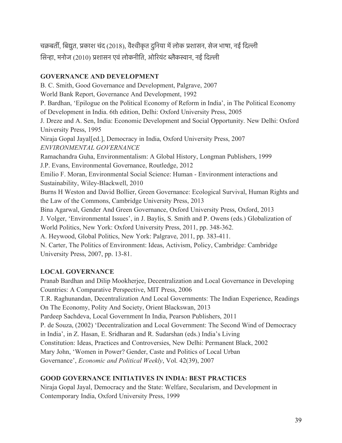चक्रबर्ती, बिद्युत, प्रकाश चंद (2018), वैश्वीकृत दुनिया में लोक प्रशासन, सेज भाषा, नई दिल्ली सिन्हा, मनोज (2010) प्रशासन एवं लोकनीति, ओरियंट ब्लैकस्वान, नई दिल्ली

# **GOVERNANCE AND DEVELOPMENT**

B. C. Smith, Good Governance and Development, Palgrave, 2007 World Bank Report, Governance And Development, 1992 P. Bardhan, 'Epilogue on the Political Economy of Reform in India', in The Political Economy of Development in India. 6th edition, Delhi: Oxford University Press, 2005 J. Dreze and A. Sen, India: Economic Development and Social Opportunity. New Delhi: Oxford University Press, 1995 Niraja Gopal Jayal[ed.], Democracy in India, Oxford University Press, 2007 *ENVIRONMENTAL GOVERNANCE* Ramachandra Guha, Environmentalism: A Global History, Longman Publishers, 1999 J.P. Evans, Environmental Governance, Routledge, 2012 Emilio F. Moran, Environmental Social Science: Human - Environment interactions and Sustainability, Wiley-Blackwell, 2010 Burns H Weston and David Bollier, Green Governance: Ecological Survival, Human Rights and the Law of the Commons, Cambridge University Press, 2013 Bina Agarwal, Gender And Green Governance, Oxford University Press, Oxford, 2013 J. Volger, 'Environmental Issues', in J. Baylis, S. Smith and P. Owens (eds.) Globalization of World Politics, New York: Oxford University Press, 2011, pp. 348-362. A. Heywood, Global Politics, New York: Palgrave, 2011, pp. 383-411. N. Carter, The Politics of Environment: Ideas, Activism, Policy, Cambridge: Cambridge University Press, 2007, pp. 13-81.

# **LOCAL GOVERNANCE**

Pranab Bardhan and Dilip Mookherjee, Decentralization and Local Governance in Developing Countries: A Comparative Perspective, MIT Press, 2006 T.R. Raghunandan, Decentralization And Local Governments: The Indian Experience, Readings On The Economy, Polity And Society, Orient Blackswan, 2013 Pardeep Sachdeva, Local Government In India, Pearson Publishers, 2011 P. de Souza, (2002) 'Decentralization and Local Government: The Second Wind of Democracy in India', in Z. Hasan, E. Sridharan and R. Sudarshan (eds.) India's Living Constitution: Ideas, Practices and Controversies, New Delhi: Permanent Black, 2002 Mary John, 'Women in Power? Gender, Caste and Politics of Local Urban Governance', *Economic and Political Weekly*, Vol. 42(39), 2007

# **GOOD GOVERNANCE INITIATIVES IN INDIA: BEST PRACTICES**

Niraja Gopal Jayal, Democracy and the State: Welfare, Secularism, and Development in Contemporary India, Oxford University Press, 1999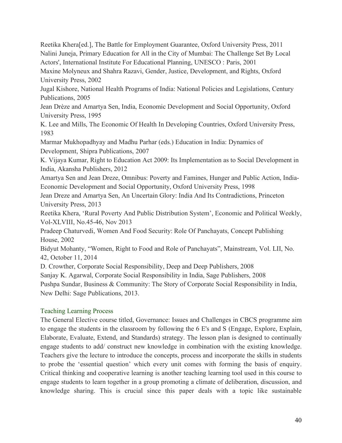Reetika Khera[ed.], The Battle for Employment Guarantee, Oxford University Press, 2011 Nalini Juneja, Primary Education for All in the City of Mumbai: The Challenge Set By Local Actors', International Institute For Educational Planning, UNESCO : Paris, 2001 Maxine Molyneux and Shahra Razavi, Gender, Justice, Development, and Rights, Oxford University Press, 2002 Jugal Kishore, National Health Programs of India: National Policies and Legislations, Century Publications, 2005 Jean Drèze and Amartya Sen, India, Economic Development and Social Opportunity, Oxford University Press, 1995 K. Lee and Mills, The Economic Of Health In Developing Countries, Oxford University Press, 1983 Marmar Mukhopadhyay and Madhu Parhar (eds.) Education in India: Dynamics of Development, Shipra Publications, 2007 K. Vijaya Kumar, Right to Education Act 2009: Its Implementation as to Social Development in India, Akansha Publishers, 2012 Amartya Sen and Jean Dreze, Omnibus: Poverty and Famines, Hunger and Public Action, India-Economic Development and Social Opportunity, Oxford University Press, 1998 Jean Dreze and Amartya Sen, An Uncertain Glory: India And Its Contradictions, Princeton University Press, 2013 Reetika Khera, 'Rural Poverty And Public Distribution System', Economic and Political Weekly, Vol-XLVIII, No.45-46, Nov 2013 Pradeep Chaturvedi, Women And Food Security: Role Of Panchayats, Concept Publishing House, 2002 Bidyut Mohanty, "Women, Right to Food and Role of Panchayats", Mainstream, Vol. LII, No. 42, October 11, 2014 D. Crowther, Corporate Social Responsibility, Deep and Deep Publishers, 2008 Sanjay K. Agarwal, Corporate Social Responsibility in India, Sage Publishers, 2008 Pushpa Sundar, Business & Community: The Story of Corporate Social Responsibility in India, New Delhi: Sage Publications, 2013.

# Teaching Learning Process

The General Elective course titled, Governance: Issues and Challenges in CBCS programme aim to engage the students in the classroom by following the 6 E's and S (Engage, Explore, Explain, Elaborate, Evaluate, Extend, and Standards) strategy. The lesson plan is designed to continually engage students to add/ construct new knowledge in combination with the existing knowledge. Teachers give the lecture to introduce the concepts, process and incorporate the skills in students to probe the 'essential question' which every unit comes with forming the basis of enquiry. Critical thinking and cooperative learning is another teaching learning tool used in this course to engage students to learn together in a group promoting a climate of deliberation, discussion, and knowledge sharing. This is crucial since this paper deals with a topic like sustainable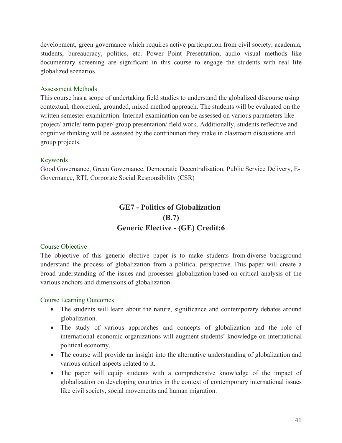development, green governance which requires active participation from civil society, academia, students, bureaucracy, politics, etc. Power Point Presentation, audio visual methods like documentary screening are significant in this course to engage the students with real life globalized scenarios.

#### Assessment Methods

This course has a scope of undertaking field studies to understand the globalized discourse using contextual, theoretical, grounded, mixed method approach. The students will be evaluated on the written semester examination. Internal examination can be assessed on various parameters like project/ article/ term paper/ group presentation/ field work. Additionally, students reflective and cognitive thinking will be assessed by the contribution they make in classroom discussions and group projects.

#### Keywords

Good Governance, Green Governance, Democratic Decentralisation, Public Service Delivery, E-Governance, RTI, Corporate Social Responsibility (CSR)

# **GE7 - Politics of Globalization (B.7) Generic Elective - (GE) Credit:6**

#### Course Objective

The objective of this generic elective paper is to make students from diverse background understand the process of globalization from a political perspective. This paper will create a broad understanding of the issues and processes globalization based on critical analysis of the various anchors and dimensions of globalization.

#### Course Learning Outcomes

- The students will learn about the nature, significance and contemporary debates around globalization.
- The study of various approaches and concepts of globalization and the role of international economic organizations will augment students' knowledge on international political economy.
- The course will provide an insight into the alternative understanding of globalization and various critical aspects related to it.
- The paper will equip students with a comprehensive knowledge of the impact of globalization on developing countries in the context of contemporary international issues like civil society, social movements and human migration.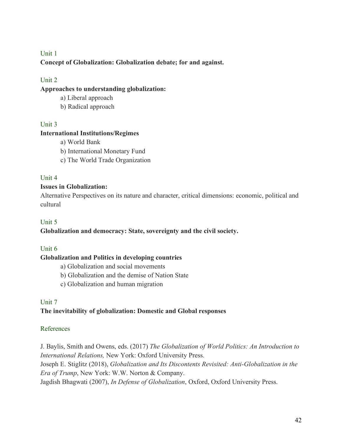# Unit 1

#### **Concept of Globalization: Globalization debate; for and against.**

#### Unit 2

#### **Approaches to understanding globalization:**

- a) Liberal approach
- b) Radical approach

# Unit 3

#### **International Institutions/Regimes**

- a) World Bank
- b) International Monetary Fund
- c) The World Trade Organization

#### Unit 4

#### **Issues in Globalization:**

Alternative Perspectives on its nature and character, critical dimensions: economic, political and cultural

#### Unit 5

# **Globalization and democracy: State, sovereignty and the civil society.**

#### Unit 6

#### **Globalization and Politics in developing countries**

- a) Globalization and social movements
- b) Globalization and the demise of Nation State
- c) Globalization and human migration

#### Unit 7

# **The inevitability of globalization: Domestic and Global responses**

#### References

J. Baylis, Smith and Owens, eds. (2017) *The Globalization of World Politics: An Introduction to International Relations,* New York: Oxford University Press.

Joseph E. Stiglitz (2018), *Globalization and Its Discontents Revisited: Anti-Globalization in the Era of Trump*, New York: W.W. Norton & Company.

Jagdish Bhagwati (2007), *In Defense of Globalization*, Oxford, Oxford University Press.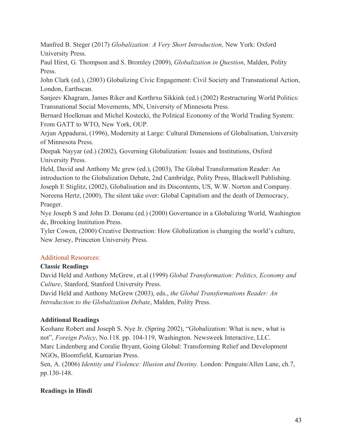Manfred B. Steger (2017) *Globalization: A Very Short Introduction,* New York: Oxford University Press.

Paul Hirst, G. Thompson and S. Bromley (2009), *Globalization in Question*, Malden, Polity Press.

John Clark (ed.), (2003) Globalizing Civic Engagement: Civil Society and Transnational Action, London, Earthscan.

Sanjeev Khagram, James Riker and Korthrxu Sikkink (ed.) (2002) Restructuring World Politics: Transnational Social Movements, MN, University of Minnesota Press.

Bernard Hoelkman and Michel Kostecki, the Political Economy of the World Trading System: From GATT to WTO, New York, OUP.

Arjun Appadurai, (1996), Modernity at Large: Cultural Dimensions of Globalisation, University of Minnesota Press.

Deepak Nayyar (ed.) (2002), Governing Globalization: Issues and Institutions, Oxford University Press.

Held, David and Anthony Mc grew (ed.), (2003), The Global Transformation Reader: An introduction to the Globalization Debate, 2nd Cambridge, Polity Press, Blackwell Publishing. Joseph E Stiglitz, (2002), Globalisation and its Discontents, US, W.W. Norton and Company. Noreena Hertz, (2000), The silent take over: Global Capitalism and the death of Democracy, Praeger.

Nye Joseph S and John D. Donanu (ed.) (2000) Governance in a Globalizing World, Washington dc, Brooking Institution Press.

Tyler Cowen, (2000) Creative Destruction: How Globalization is changing the world's culture, New Jersey, Princeton University Press.

# Additional Resources:

# **Classic Readings**

David Held and Anthony McGrew, et.al (1999) *Global Transformation: Politics, Economy and Culture*, Stanford, Stanford University Press.

David Held and Anthony McGrew (2003), eds., *the Global Transformations Reader: An Introduction to the Globalization Debate*, Malden, Polity Press.

# **Additional Readings**

Keohane Robert and Joseph S. Nye Jr. (Spring 2002), "Globalization: What is new, what is not", *Foreign Policy*, No.118. pp. 104-119, Washington. Newsweek Interactive, LLC. Marc Lindenberg and Coralie Bryant, Going Global: Transforming Relief and Development NGOs, Bloomfield, Kumarian Press.

Sen, A. (2006) *Identity and Violence: Illusion and Destiny.* London: Penguin/Allen Lane, ch.7, pp.130-148.

# **Readings in Hindi**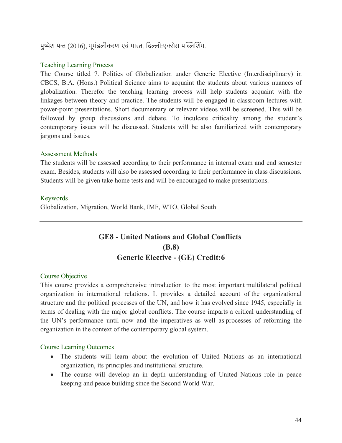पुष्पेश पन्त (2016), भूमंडलीकरण एवं भारत, दिल्ली:एक्सेस पब्लिशिंग.

#### Teaching Learning Process

The Course titled 7. Politics of Globalization under Generic Elective (Interdisciplinary) in CBCS, B.A. (Hons.) Political Science aims to acquaint the students about various nuances of globalization. Therefor the teaching learning process will help students acquaint with the linkages between theory and practice. The students will be engaged in classroom lectures with power-point presentations. Short documentary or relevant videos will be screened. This will be followed by group discussions and debate. To inculcate criticality among the student's contemporary issues will be discussed. Students will be also familiarized with contemporary jargons and issues.

#### Assessment Methods

The students will be assessed according to their performance in internal exam and end semester exam. Besides, students will also be assessed according to their performance in class discussions. Students will be given take home tests and will be encouraged to make presentations.

#### Keywords

Globalization, Migration, World Bank, IMF, WTO, Global South

# **GE8 - United Nations and Global Conflicts (B.8) Generic Elective - (GE) Credit:6**

# Course Objective

This course provides a comprehensive introduction to the most important multilateral political organization in international relations. It provides a detailed account of the organizational structure and the political processes of the UN, and how it has evolved since 1945, especially in terms of dealing with the major global conflicts. The course imparts a critical understanding of the UN's performance until now and the imperatives as well as processes of reforming the organization in the context of the contemporary global system.

#### Course Learning Outcomes

- The students will learn about the evolution of United Nations as an international organization, its principles and institutional structure.
- The course will develop an in depth understanding of United Nations role in peace keeping and peace building since the Second World War.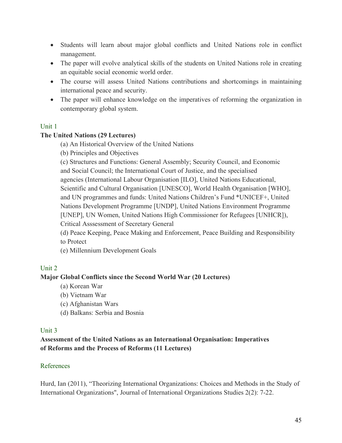- Students will learn about major global conflicts and United Nations role in conflict management.
- The paper will evolve analytical skills of the students on United Nations role in creating an equitable social economic world order.
- The course will assess United Nations contributions and shortcomings in maintaining international peace and security.
- The paper will enhance knowledge on the imperatives of reforming the organization in contemporary global system.

# Unit 1

#### **The United Nations (29 Lectures)**

(a) An Historical Overview of the United Nations

(b) Principles and Objectives

(c) Structures and Functions: General Assembly; Security Council, and Economic and Social Council; the International Court of Justice, and the specialised agencies (International Labour Organisation [ILO], United Nations Educational, Scientific and Cultural Organisation [UNESCO], World Health Organisation [WHO], and UN programmes and funds: United Nations Children's Fund \*UNICEF+, United Nations Development Programme [UNDP], United Nations Environment Programme [UNEP], UN Women, United Nations High Commissioner for Refugees [UNHCR]), Critical Asssessment of Secretary General

(d) Peace Keeping, Peace Making and Enforcement, Peace Building and Responsibility to Protect

(e) Millennium Development Goals

# Unit 2

# **Major Global Conflicts since the Second World War (20 Lectures)**

- (a) Korean War
- (b) Vietnam War
- (c) Afghanistan Wars
- (d) Balkans: Serbia and Bosnia

#### Unit 3

# **Assessment of the United Nations as an International Organisation: Imperatives of Reforms and the Process of Reforms (11 Lectures)**

#### References

Hurd, Ian (2011), "Theorizing International Organizations: Choices and Methods in the Study of International Organizations", Journal of International Organizations Studies 2(2): 7-22.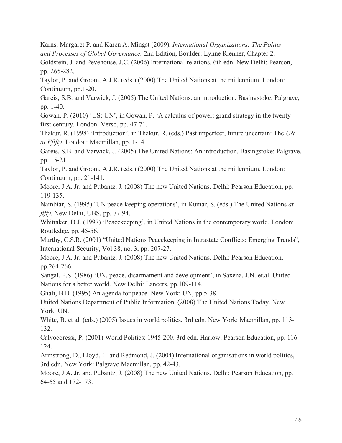Karns, Margaret P. and Karen A. Mingst (2009), *International Organizations: The Politis and Processes of Global Governance,* 2nd Edition, Boulder: Lynne Rienner, Chapter 2.

Goldstein, J. and Pevehouse, J.C. (2006) International relations. 6th edn. New Delhi: Pearson, pp. 265-282.

Taylor, P. and Groom, A.J.R. (eds.) (2000) The United Nations at the millennium. London: Continuum, pp.1-20.

Gareis, S.B. and Varwick, J. (2005) The United Nations: an introduction. Basingstoke: Palgrave, pp. 1-40.

Gowan, P. (2010) 'US: UN', in Gowan, P. 'A calculus of power: grand strategy in the twentyfirst century. London: Verso, pp. 47-71.

Thakur, R. (1998) 'Introduction', in Thakur, R. (eds.) Past imperfect, future uncertain: The *UN at Ffifty*. London: Macmillan, pp. 1-14.

Gareis, S.B. and Varwick, J. (2005) The United Nations: An introduction. Basingstoke: Palgrave, pp. 15-21.

Taylor, P. and Groom, A.J.R. (eds.) (2000) The United Nations at the millennium. London: Continuum, pp. 21-141.

Moore, J.A. Jr. and Pubantz, J. (2008) The new United Nations. Delhi: Pearson Education, pp. 119-135.

Nambiar, S. (1995) 'UN peace-keeping operations', in Kumar, S. (eds.) The United Nations *at fifty*. New Delhi, UBS, pp. 77-94.

Whittaker, D.J. (1997) 'Peacekeeping', in United Nations in the contemporary world. London: Routledge, pp. 45-56.

Murthy, C.S.R. (2001) "United Nations Peacekeeping in Intrastate Conflicts: Emerging Trends", International Security, Vol 38, no. 3, pp. 207-27.

Moore, J.A. Jr. and Pubantz, J. (2008) The new United Nations. Delhi: Pearson Education, pp.264-266.

Sangal, P.S. (1986) 'UN, peace, disarmament and development', in Saxena, J.N. et.al. United Nations for a better world. New Delhi: Lancers, pp.109-114.

Ghali, B.B. (1995) An agenda for peace. New York: UN, pp.5-38.

United Nations Department of Public Information. (2008) The United Nations Today. New York: UN.

White, B. et al. (eds.) (2005) Issues in world politics. 3rd edn. New York: Macmillan, pp. 113- 132.

Calvocoressi, P. (2001) World Politics: 1945-200. 3rd edn. Harlow: Pearson Education, pp. 116- 124.

Armstrong, D., Lloyd, L. and Redmond, J. (2004) International organisations in world politics, 3rd edn. New York: Palgrave Macmillan, pp. 42-43.

Moore, J.A. Jr. and Pubantz, J. (2008) The new United Nations. Delhi: Pearson Education, pp. 64-65 and 172-173.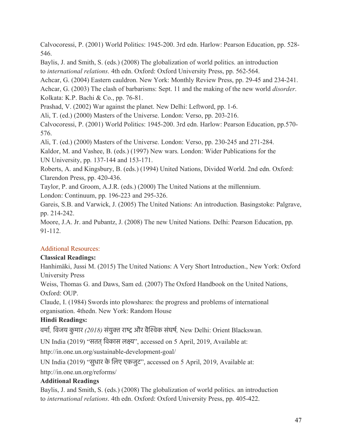Calvocoressi, P. (2001) World Politics: 1945-200. 3rd edn. Harlow: Pearson Education, pp. 528- 546.

Baylis, J. and Smith, S. (eds.) (2008) The globalization of world politics. an introduction to *international relations*. 4th edn. Oxford: Oxford University Press, pp. 562-564.

Achcar, G. (2004) Eastern cauldron. New York: Monthly Review Press, pp. 29-45 and 234-241.

Achcar, G. (2003) The clash of barbarisms: Sept. 11 and the making of the new world *disorder*. Kolkata: K.P. Bachi & Co., pp. 76-81.

Prashad, V. (2002) War against the planet. New Delhi: Leftword, pp. 1-6.

Ali, T. (ed.) (2000) Masters of the Universe. London: Verso, pp. 203-216.

Calvocoressi, P. (2001) World Politics: 1945-200. 3rd edn. Harlow: Pearson Education, pp.570- 576.

Ali, T. (ed.) (2000) Masters of the Universe. London: Verso, pp. 230-245 and 271-284.

Kaldor, M. and Vashee, B. (eds.) (1997) New wars. London: Wider Publications for the UN University, pp. 137-144 and 153-171.

Roberts, A. and Kingsbury, B. (eds.) (1994) United Nations, Divided World. 2nd edn. Oxford: Clarendon Press, pp. 420-436.

Taylor, P. and Groom, A.J.R. (eds.) (2000) The United Nations at the millennium.

London: Continuum, pp. 196-223 and 295-326.

Gareis, S.B. and Varwick, J. (2005) The United Nations: An introduction. Basingstoke: Palgrave, pp. 214-242.

Moore, J.A. Jr. and Pubantz, J. (2008) The new United Nations. Delhi: Pearson Education, pp. 91-112.

# Additional Resources:

# **Classical Readings:**

Hanhimäki, Jussi M. (2015) The United Nations: A Very Short Introduction., New York: Oxford University Press

Weiss, Thomas G. and Daws, Sam ed. (2007) The Oxford Handbook on the United Nations, Oxford: OUP.

Claude, I. (1984) Swords into plowshares: the progress and problems of international organisation. 4thedn. New York: Random House

# **Hindi Readings:**

वमार*,* िवजय कु मार *(2018)* संयुक राष और वैिशक संघषर*,* New Delhi: Orient Blackswan.

UN India (2019) "सतत्िवकास लकय", accessed on 5 April, 2019, Available at:

http://in.one.un.org/sustainable-development-goal/

UN India (2019) "सुधार के िलए एकजुट", accessed on 5 April, 2019, Available at:

http://in.one.un.org/reforms/

# **Additional Readings**

Baylis, J. and Smith, S. (eds.) (2008) The globalization of world politics. an introduction to *international relations*. 4th edn. Oxford: Oxford University Press, pp. 405-422.